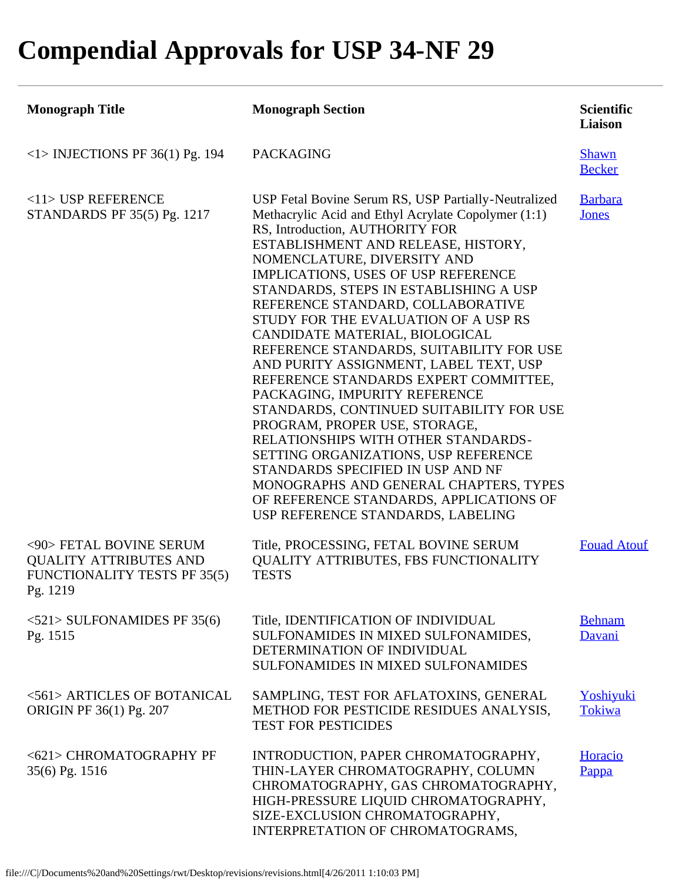## **Compendial Approvals for USP 34-NF 29**

| <b>Monograph Title</b>                                                                                      | <b>Monograph Section</b>                                                                                                                                                                                                                                                                                                                                                                                                                                                                                                                                                                                                                                                                                                                                                                                                                                                                                        | <b>Scientific</b><br>Liaison  |
|-------------------------------------------------------------------------------------------------------------|-----------------------------------------------------------------------------------------------------------------------------------------------------------------------------------------------------------------------------------------------------------------------------------------------------------------------------------------------------------------------------------------------------------------------------------------------------------------------------------------------------------------------------------------------------------------------------------------------------------------------------------------------------------------------------------------------------------------------------------------------------------------------------------------------------------------------------------------------------------------------------------------------------------------|-------------------------------|
| $<$ 1> INJECTIONS PF 36(1) Pg. 194                                                                          | <b>PACKAGING</b>                                                                                                                                                                                                                                                                                                                                                                                                                                                                                                                                                                                                                                                                                                                                                                                                                                                                                                | <b>Shawn</b><br><b>Becker</b> |
| $<$ 11> USP REFERENCE<br>STANDARDS PF 35(5) Pg. 1217                                                        | USP Fetal Bovine Serum RS, USP Partially-Neutralized<br>Methacrylic Acid and Ethyl Acrylate Copolymer (1:1)<br>RS, Introduction, AUTHORITY FOR<br>ESTABLISHMENT AND RELEASE, HISTORY,<br>NOMENCLATURE, DIVERSITY AND<br>IMPLICATIONS, USES OF USP REFERENCE<br>STANDARDS, STEPS IN ESTABLISHING A USP<br>REFERENCE STANDARD, COLLABORATIVE<br>STUDY FOR THE EVALUATION OF A USP RS<br>CANDIDATE MATERIAL, BIOLOGICAL<br>REFERENCE STANDARDS, SUITABILITY FOR USE<br>AND PURITY ASSIGNMENT, LABEL TEXT, USP<br>REFERENCE STANDARDS EXPERT COMMITTEE,<br>PACKAGING, IMPURITY REFERENCE<br>STANDARDS, CONTINUED SUITABILITY FOR USE<br>PROGRAM, PROPER USE, STORAGE,<br>RELATIONSHIPS WITH OTHER STANDARDS-<br>SETTING ORGANIZATIONS, USP REFERENCE<br>STANDARDS SPECIFIED IN USP AND NF<br>MONOGRAPHS AND GENERAL CHAPTERS, TYPES<br>OF REFERENCE STANDARDS, APPLICATIONS OF<br>USP REFERENCE STANDARDS, LABELING | <b>Barbara</b><br>Jones       |
| <90> FETAL BOVINE SERUM<br><b>QUALITY ATTRIBUTES AND</b><br><b>FUNCTIONALITY TESTS PF 35(5)</b><br>Pg. 1219 | Title, PROCESSING, FETAL BOVINE SERUM<br><b>QUALITY ATTRIBUTES, FBS FUNCTIONALITY</b><br><b>TESTS</b>                                                                                                                                                                                                                                                                                                                                                                                                                                                                                                                                                                                                                                                                                                                                                                                                           | <b>Fouad Atouf</b>            |
| $\langle 521 \rangle$ SULFONAMIDES PF 35(6)<br>Pg. 1515                                                     | Title, IDENTIFICATION OF INDIVIDUAL<br>SULFONAMIDES IN MIXED SULFONAMIDES,<br>DETERMINATION OF INDIVIDUAL<br>SULFONAMIDES IN MIXED SULFONAMIDES                                                                                                                                                                                                                                                                                                                                                                                                                                                                                                                                                                                                                                                                                                                                                                 | <b>Behnam</b><br>Davani       |
| <561> ARTICLES OF BOTANICAL<br>ORIGIN PF 36(1) Pg. 207                                                      | SAMPLING, TEST FOR AFLATOXINS, GENERAL<br>METHOD FOR PESTICIDE RESIDUES ANALYSIS,<br><b>TEST FOR PESTICIDES</b>                                                                                                                                                                                                                                                                                                                                                                                                                                                                                                                                                                                                                                                                                                                                                                                                 | Yoshiyuki<br>Tokiwa           |
| <621> CHROMATOGRAPHY PF<br>35(6) Pg. 1516                                                                   | INTRODUCTION, PAPER CHROMATOGRAPHY,<br>THIN-LAYER CHROMATOGRAPHY, COLUMN<br>CHROMATOGRAPHY, GAS CHROMATOGRAPHY,<br>HIGH-PRESSURE LIQUID CHROMATOGRAPHY,<br>SIZE-EXCLUSION CHROMATOGRAPHY,<br>INTERPRETATION OF CHROMATOGRAMS,                                                                                                                                                                                                                                                                                                                                                                                                                                                                                                                                                                                                                                                                                   | Horacio<br>Pappa              |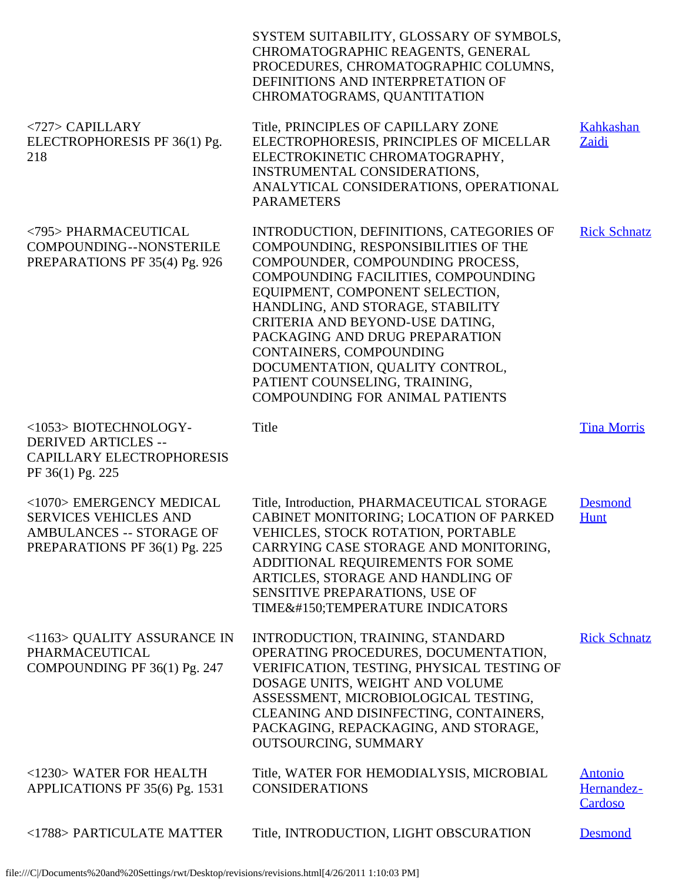|                                                                                                                              | SYSTEM SUITABILITY, GLOSSARY OF SYMBOLS,<br>CHROMATOGRAPHIC REAGENTS, GENERAL<br>PROCEDURES, CHROMATOGRAPHIC COLUMNS,<br>DEFINITIONS AND INTERPRETATION OF<br>CHROMATOGRAMS, QUANTITATION                                                                                                                                                                                                                                                        |                                         |
|------------------------------------------------------------------------------------------------------------------------------|--------------------------------------------------------------------------------------------------------------------------------------------------------------------------------------------------------------------------------------------------------------------------------------------------------------------------------------------------------------------------------------------------------------------------------------------------|-----------------------------------------|
| <727> CAPILLARY<br>ELECTROPHORESIS PF 36(1) Pg.<br>218                                                                       | Title, PRINCIPLES OF CAPILLARY ZONE<br>ELECTROPHORESIS, PRINCIPLES OF MICELLAR<br>ELECTROKINETIC CHROMATOGRAPHY,<br><b>INSTRUMENTAL CONSIDERATIONS,</b><br>ANALYTICAL CONSIDERATIONS, OPERATIONAL<br><b>PARAMETERS</b>                                                                                                                                                                                                                           | Kahkashan<br>Zaidi                      |
| <795> PHARMACEUTICAL<br>COMPOUNDING--NONSTERILE<br>PREPARATIONS PF 35(4) Pg. 926                                             | INTRODUCTION, DEFINITIONS, CATEGORIES OF<br>COMPOUNDING, RESPONSIBILITIES OF THE<br>COMPOUNDER, COMPOUNDING PROCESS,<br>COMPOUNDING FACILITIES, COMPOUNDING<br>EQUIPMENT, COMPONENT SELECTION,<br>HANDLING, AND STORAGE, STABILITY<br>CRITERIA AND BEYOND-USE DATING,<br>PACKAGING AND DRUG PREPARATION<br>CONTAINERS, COMPOUNDING<br>DOCUMENTATION, QUALITY CONTROL,<br>PATIENT COUNSELING, TRAINING,<br><b>COMPOUNDING FOR ANIMAL PATIENTS</b> | <b>Rick Schnatz</b>                     |
| <1053> BIOTECHNOLOGY-<br><b>DERIVED ARTICLES --</b><br>CAPILLARY ELECTROPHORESIS<br>PF 36(1) Pg. 225                         | Title                                                                                                                                                                                                                                                                                                                                                                                                                                            | <b>Tina Morris</b>                      |
| <1070> EMERGENCY MEDICAL<br><b>SERVICES VEHICLES AND</b><br><b>AMBULANCES -- STORAGE OF</b><br>PREPARATIONS PF 36(1) Pg. 225 | Title, Introduction, PHARMACEUTICAL STORAGE<br>CABINET MONITORING; LOCATION OF PARKED<br>VEHICLES, STOCK ROTATION, PORTABLE<br>CARRYING CASE STORAGE AND MONITORING,<br>ADDITIONAL REQUIREMENTS FOR SOME<br>ARTICLES, STORAGE AND HANDLING OF<br>SENSITIVE PREPARATIONS, USE OF<br>TIME–TEMPERATURE INDICATORS                                                                                                                                   | <b>Desmond</b><br><b>Hunt</b>           |
| <1163> QUALITY ASSURANCE IN<br>PHARMACEUTICAL<br>COMPOUNDING PF 36(1) Pg. 247                                                | INTRODUCTION, TRAINING, STANDARD<br>OPERATING PROCEDURES, DOCUMENTATION,<br>VERIFICATION, TESTING, PHYSICAL TESTING OF<br>DOSAGE UNITS, WEIGHT AND VOLUME<br>ASSESSMENT, MICROBIOLOGICAL TESTING,<br>CLEANING AND DISINFECTING, CONTAINERS,<br>PACKAGING, REPACKAGING, AND STORAGE,<br>OUTSOURCING, SUMMARY                                                                                                                                      | <b>Rick Schnatz</b>                     |
| <1230> WATER FOR HEALTH<br>APPLICATIONS PF 35(6) Pg. 1531                                                                    | Title, WATER FOR HEMODIALYSIS, MICROBIAL<br><b>CONSIDERATIONS</b>                                                                                                                                                                                                                                                                                                                                                                                | <b>Antonio</b><br>Hernandez-<br>Cardoso |
| <1788> PARTICULATE MATTER                                                                                                    | Title, INTRODUCTION, LIGHT OBSCURATION                                                                                                                                                                                                                                                                                                                                                                                                           | <b>Desmond</b>                          |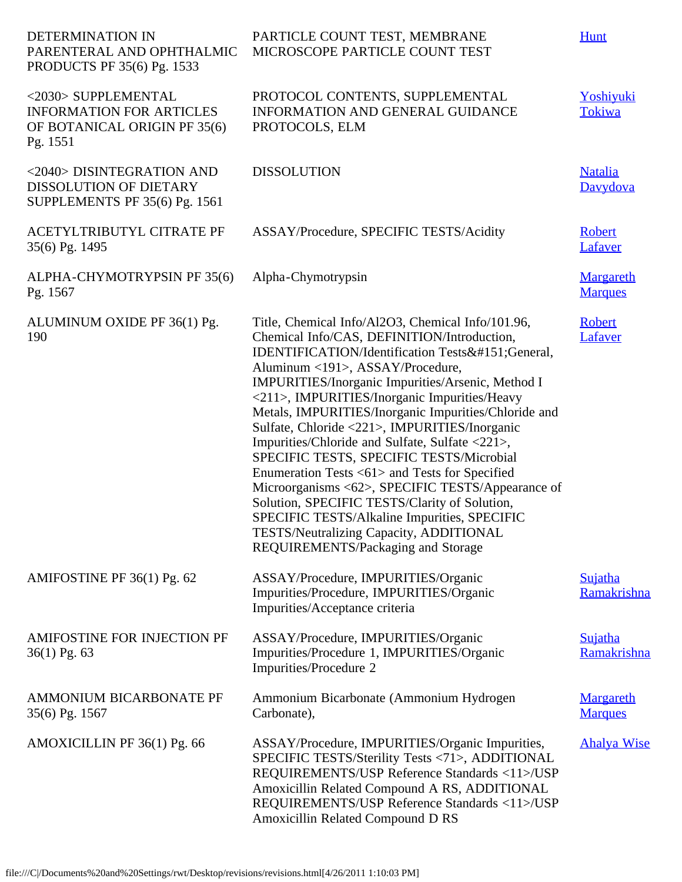| DETERMINATION IN<br>PARENTERAL AND OPHTHALMIC<br>PRODUCTS PF 35(6) Pg. 1533                        | PARTICLE COUNT TEST, MEMBRANE<br>MICROSCOPE PARTICLE COUNT TEST                                                                                                                                                                                                                                                                                                                                                                                                                                                                                                                                                                                                                                                                                                                            | <b>Hunt</b>                        |
|----------------------------------------------------------------------------------------------------|--------------------------------------------------------------------------------------------------------------------------------------------------------------------------------------------------------------------------------------------------------------------------------------------------------------------------------------------------------------------------------------------------------------------------------------------------------------------------------------------------------------------------------------------------------------------------------------------------------------------------------------------------------------------------------------------------------------------------------------------------------------------------------------------|------------------------------------|
| <2030> SUPPLEMENTAL<br><b>INFORMATION FOR ARTICLES</b><br>OF BOTANICAL ORIGIN PF 35(6)<br>Pg. 1551 | PROTOCOL CONTENTS, SUPPLEMENTAL<br>INFORMATION AND GENERAL GUIDANCE<br>PROTOCOLS, ELM                                                                                                                                                                                                                                                                                                                                                                                                                                                                                                                                                                                                                                                                                                      | Yoshiyuki<br>Tokiwa                |
| <2040> DISINTEGRATION AND<br><b>DISSOLUTION OF DIETARY</b><br>SUPPLEMENTS PF 35(6) Pg. 1561        | <b>DISSOLUTION</b>                                                                                                                                                                                                                                                                                                                                                                                                                                                                                                                                                                                                                                                                                                                                                                         | <b>Natalia</b><br>Davydova         |
| ACETYLTRIBUTYL CITRATE PF<br>35(6) Pg. 1495                                                        | ASSAY/Procedure, SPECIFIC TESTS/Acidity                                                                                                                                                                                                                                                                                                                                                                                                                                                                                                                                                                                                                                                                                                                                                    | Robert<br>Lafaver                  |
| ALPHA-CHYMOTRYPSIN PF 35(6)<br>Pg. 1567                                                            | Alpha-Chymotrypsin                                                                                                                                                                                                                                                                                                                                                                                                                                                                                                                                                                                                                                                                                                                                                                         | <b>Margareth</b><br><b>Marques</b> |
| ALUMINUM OXIDE PF 36(1) Pg.<br>190                                                                 | Title, Chemical Info/Al2O3, Chemical Info/101.96,<br>Chemical Info/CAS, DEFINITION/Introduction,<br>IDENTIFICATION/Identification Tests—General,<br>Aluminum <191>, ASSAY/Procedure,<br>IMPURITIES/Inorganic Impurities/Arsenic, Method I<br><211>, IMPURITIES/Inorganic Impurities/Heavy<br>Metals, IMPURITIES/Inorganic Impurities/Chloride and<br>Sulfate, Chloride <221>, IMPURITIES/Inorganic<br>Impurities/Chloride and Sulfate, Sulfate <221>,<br>SPECIFIC TESTS, SPECIFIC TESTS/Microbial<br>Enumeration Tests <61> and Tests for Specified<br>Microorganisms <62>, SPECIFIC TESTS/Appearance of<br>Solution, SPECIFIC TESTS/Clarity of Solution,<br>SPECIFIC TESTS/Alkaline Impurities, SPECIFIC<br>TESTS/Neutralizing Capacity, ADDITIONAL<br>REQUIREMENTS/Packaging and Storage | Robert<br>Lafaver                  |
| AMIFOSTINE PF 36(1) Pg. 62                                                                         | ASSAY/Procedure, IMPURITIES/Organic<br>Impurities/Procedure, IMPURITIES/Organic<br>Impurities/Acceptance criteria                                                                                                                                                                                                                                                                                                                                                                                                                                                                                                                                                                                                                                                                          | Sujatha<br>Ramakrishna             |
| AMIFOSTINE FOR INJECTION PF<br>$36(1)$ Pg. 63                                                      | ASSAY/Procedure, IMPURITIES/Organic<br>Impurities/Procedure 1, IMPURITIES/Organic<br>Impurities/Procedure 2                                                                                                                                                                                                                                                                                                                                                                                                                                                                                                                                                                                                                                                                                | Sujatha<br>Ramakrishna             |
| AMMONIUM BICARBONATE PF<br>35(6) Pg. 1567                                                          | Ammonium Bicarbonate (Ammonium Hydrogen<br>Carbonate),                                                                                                                                                                                                                                                                                                                                                                                                                                                                                                                                                                                                                                                                                                                                     | <b>Margareth</b><br><b>Marques</b> |
| AMOXICILLIN PF 36(1) Pg. 66                                                                        | ASSAY/Procedure, IMPURITIES/Organic Impurities,<br>SPECIFIC TESTS/Sterility Tests <71>, ADDITIONAL<br>REQUIREMENTS/USP Reference Standards <11>/USP<br>Amoxicillin Related Compound A RS, ADDITIONAL<br>REQUIREMENTS/USP Reference Standards <11>/USP<br>Amoxicillin Related Compound D RS                                                                                                                                                                                                                                                                                                                                                                                                                                                                                                 | <b>Ahalya Wise</b>                 |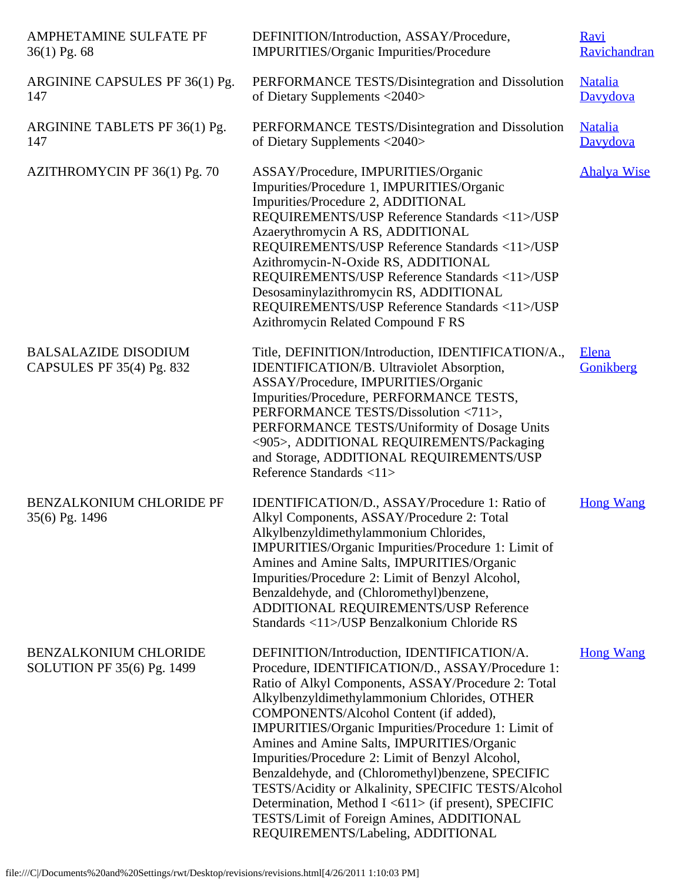| AMPHETAMINE SULFATE PF<br>$36(1)$ Pg. 68                   | DEFINITION/Introduction, ASSAY/Procedure,<br>IMPURITIES/Organic Impurities/Procedure                                                                                                                                                                                                                                                                                                                                                                                                                                                                                                                                                                           | <b>Ravi</b><br>Ravichandran |
|------------------------------------------------------------|----------------------------------------------------------------------------------------------------------------------------------------------------------------------------------------------------------------------------------------------------------------------------------------------------------------------------------------------------------------------------------------------------------------------------------------------------------------------------------------------------------------------------------------------------------------------------------------------------------------------------------------------------------------|-----------------------------|
| ARGININE CAPSULES PF 36(1) Pg.<br>147                      | PERFORMANCE TESTS/Disintegration and Dissolution<br>of Dietary Supplements <2040>                                                                                                                                                                                                                                                                                                                                                                                                                                                                                                                                                                              | <b>Natalia</b><br>Davydova  |
| ARGININE TABLETS PF 36(1) Pg.<br>147                       | PERFORMANCE TESTS/Disintegration and Dissolution<br>of Dietary Supplements <2040>                                                                                                                                                                                                                                                                                                                                                                                                                                                                                                                                                                              | <b>Natalia</b><br>Davydova  |
| AZITHROMYCIN PF 36(1) Pg. 70                               | ASSAY/Procedure, IMPURITIES/Organic<br>Impurities/Procedure 1, IMPURITIES/Organic<br>Impurities/Procedure 2, ADDITIONAL<br>REQUIREMENTS/USP Reference Standards <11>/USP<br>Azaerythromycin A RS, ADDITIONAL<br>REQUIREMENTS/USP Reference Standards <11>/USP<br>Azithromycin-N-Oxide RS, ADDITIONAL<br>REQUIREMENTS/USP Reference Standards <11>/USP<br>Desosaminylazithromycin RS, ADDITIONAL<br>REQUIREMENTS/USP Reference Standards <11>/USP<br>Azithromycin Related Compound F RS                                                                                                                                                                         | <b>Ahalya Wise</b>          |
| <b>BALSALAZIDE DISODIUM</b><br>CAPSULES PF 35(4) Pg. 832   | Title, DEFINITION/Introduction, IDENTIFICATION/A.,<br>IDENTIFICATION/B. Ultraviolet Absorption,<br>ASSAY/Procedure, IMPURITIES/Organic<br>Impurities/Procedure, PERFORMANCE TESTS,<br>PERFORMANCE TESTS/Dissolution <711>,<br>PERFORMANCE TESTS/Uniformity of Dosage Units<br><905>, ADDITIONAL REQUIREMENTS/Packaging<br>and Storage, ADDITIONAL REQUIREMENTS/USP<br>Reference Standards <11>                                                                                                                                                                                                                                                                 | Elena<br>Gonikberg          |
| <b>BENZALKONIUM CHLORIDE PF</b><br>35(6) Pg. 1496          | IDENTIFICATION/D., ASSAY/Procedure 1: Ratio of<br>Alkyl Components, ASSAY/Procedure 2: Total<br>Alkylbenzyldimethylammonium Chlorides,<br>IMPURITIES/Organic Impurities/Procedure 1: Limit of<br>Amines and Amine Salts, IMPURITIES/Organic<br>Impurities/Procedure 2: Limit of Benzyl Alcohol,<br>Benzaldehyde, and (Chloromethyl)benzene,<br>ADDITIONAL REQUIREMENTS/USP Reference<br>Standards <11>/USP Benzalkonium Chloride RS                                                                                                                                                                                                                            | <b>Hong Wang</b>            |
| <b>BENZALKONIUM CHLORIDE</b><br>SOLUTION PF 35(6) Pg. 1499 | DEFINITION/Introduction, IDENTIFICATION/A.<br>Procedure, IDENTIFICATION/D., ASSAY/Procedure 1:<br>Ratio of Alkyl Components, ASSAY/Procedure 2: Total<br>Alkylbenzyldimethylammonium Chlorides, OTHER<br>COMPONENTS/Alcohol Content (if added),<br>IMPURITIES/Organic Impurities/Procedure 1: Limit of<br>Amines and Amine Salts, IMPURITIES/Organic<br>Impurities/Procedure 2: Limit of Benzyl Alcohol,<br>Benzaldehyde, and (Chloromethyl)benzene, SPECIFIC<br>TESTS/Acidity or Alkalinity, SPECIFIC TESTS/Alcohol<br>Determination, Method I <611> (if present), SPECIFIC<br>TESTS/Limit of Foreign Amines, ADDITIONAL<br>REQUIREMENTS/Labeling, ADDITIONAL | <b>Hong Wang</b>            |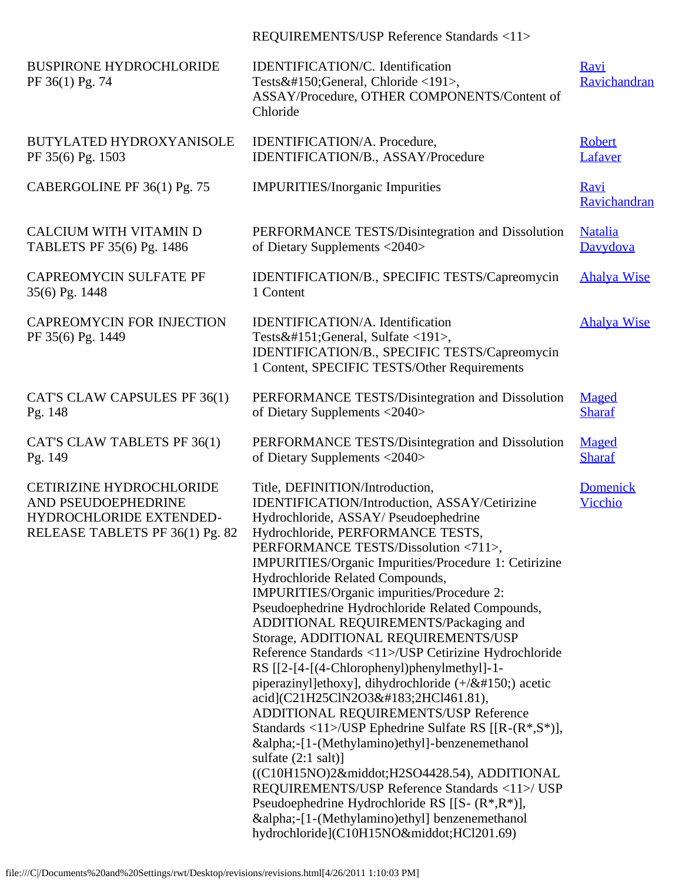REQUIREMENTS/USP Reference Standards <11>

| <b>BUSPIRONE HYDROCHLORIDE</b><br>PF 36(1) Pg. 74                                                                    | IDENTIFICATION/C. Identification<br>Tests–General, Chloride <191>,<br>ASSAY/Procedure, OTHER COMPONENTS/Content of<br>Chloride                                                                                                                                                                                                                                                                                                                                                                                                                                                                                                                                                                                                                                                                                                                                                                                                                                                                                                                                                                                         | Ravi<br>Ravichandran        |
|----------------------------------------------------------------------------------------------------------------------|------------------------------------------------------------------------------------------------------------------------------------------------------------------------------------------------------------------------------------------------------------------------------------------------------------------------------------------------------------------------------------------------------------------------------------------------------------------------------------------------------------------------------------------------------------------------------------------------------------------------------------------------------------------------------------------------------------------------------------------------------------------------------------------------------------------------------------------------------------------------------------------------------------------------------------------------------------------------------------------------------------------------------------------------------------------------------------------------------------------------|-----------------------------|
| BUTYLATED HYDROXYANISOLE<br>PF 35(6) Pg. 1503                                                                        | IDENTIFICATION/A. Procedure,<br>IDENTIFICATION/B., ASSAY/Procedure                                                                                                                                                                                                                                                                                                                                                                                                                                                                                                                                                                                                                                                                                                                                                                                                                                                                                                                                                                                                                                                     | Robert<br>Lafaver           |
| CABERGOLINE PF 36(1) Pg. 75                                                                                          | <b>IMPURITIES/Inorganic Impurities</b>                                                                                                                                                                                                                                                                                                                                                                                                                                                                                                                                                                                                                                                                                                                                                                                                                                                                                                                                                                                                                                                                                 | <b>Ravi</b><br>Ravichandran |
| CALCIUM WITH VITAMIN D<br>TABLETS PF 35(6) Pg. 1486                                                                  | PERFORMANCE TESTS/Disintegration and Dissolution<br>of Dietary Supplements <2040>                                                                                                                                                                                                                                                                                                                                                                                                                                                                                                                                                                                                                                                                                                                                                                                                                                                                                                                                                                                                                                      | <b>Natalia</b><br>Davydova  |
| <b>CAPREOMYCIN SULFATE PF</b><br>35(6) Pg. 1448                                                                      | IDENTIFICATION/B., SPECIFIC TESTS/Capreomycin<br>1 Content                                                                                                                                                                                                                                                                                                                                                                                                                                                                                                                                                                                                                                                                                                                                                                                                                                                                                                                                                                                                                                                             | <b>Ahalya Wise</b>          |
| <b>CAPREOMYCIN FOR INJECTION</b><br>PF 35(6) Pg. 1449                                                                | IDENTIFICATION/A. Identification<br>Tests—General, Sulfate <191>,<br>IDENTIFICATION/B., SPECIFIC TESTS/Capreomycin<br>1 Content, SPECIFIC TESTS/Other Requirements                                                                                                                                                                                                                                                                                                                                                                                                                                                                                                                                                                                                                                                                                                                                                                                                                                                                                                                                                     | <b>Ahalya Wise</b>          |
| CAT'S CLAW CAPSULES PF 36(1)<br>Pg. 148                                                                              | PERFORMANCE TESTS/Disintegration and Dissolution<br>of Dietary Supplements <2040>                                                                                                                                                                                                                                                                                                                                                                                                                                                                                                                                                                                                                                                                                                                                                                                                                                                                                                                                                                                                                                      | Maged<br><b>Sharaf</b>      |
| CAT'S CLAW TABLETS PF 36(1)<br>Pg. 149                                                                               | PERFORMANCE TESTS/Disintegration and Dissolution<br>of Dietary Supplements <2040>                                                                                                                                                                                                                                                                                                                                                                                                                                                                                                                                                                                                                                                                                                                                                                                                                                                                                                                                                                                                                                      | Maged<br><b>Sharaf</b>      |
| <b>CETIRIZINE HYDROCHLORIDE</b><br>AND PSEUDOEPHEDRINE<br>HYDROCHLORIDE EXTENDED-<br>RELEASE TABLETS PF 36(1) Pg. 82 | Title, DEFINITION/Introduction,<br>IDENTIFICATION/Introduction, ASSAY/Cetirizine<br>Hydrochloride, ASSAY/Pseudoephedrine<br>Hydrochloride, PERFORMANCE TESTS,<br>PERFORMANCE TESTS/Dissolution <711>.<br>IMPURITIES/Organic Impurities/Procedure 1: Cetirizine<br>Hydrochloride Related Compounds,<br>IMPURITIES/Organic impurities/Procedure 2:<br>Pseudoephedrine Hydrochloride Related Compounds,<br>ADDITIONAL REQUIREMENTS/Packaging and<br>Storage, ADDITIONAL REQUIREMENTS/USP<br>Reference Standards <11>/USP Cetirizine Hydrochloride<br>RS [[2-[4-[(4-Chlorophenyl)phenylmethyl]-1-<br>piperazinyl]ethoxy], dihydrochloride $(+/&\#150)$ ; acetic<br>acid](C21H25ClN2O3·2HCl461.81),<br>ADDITIONAL REQUIREMENTS/USP Reference<br>Standards <11>/USP Ephedrine Sulfate RS $[[R-(R^*,S^*)],$<br>α-[1-(Methylamino)ethyl]-benzenemethanol<br>sulfate $(2:1 \text{ salt})$<br>((C10H15NO)2·H2SO4428.54), ADDITIONAL<br>REQUIREMENTS/USP Reference Standards <11>/ USP<br>Pseudoephedrine Hydrochloride RS [[S- $(R^*, R^*)$ ],<br>α-[1-(Methylamino)ethyl] benzenemethanol<br>hydrochloride](C10H15NO·HCl201.69) | <b>Domenick</b><br>Vicchio  |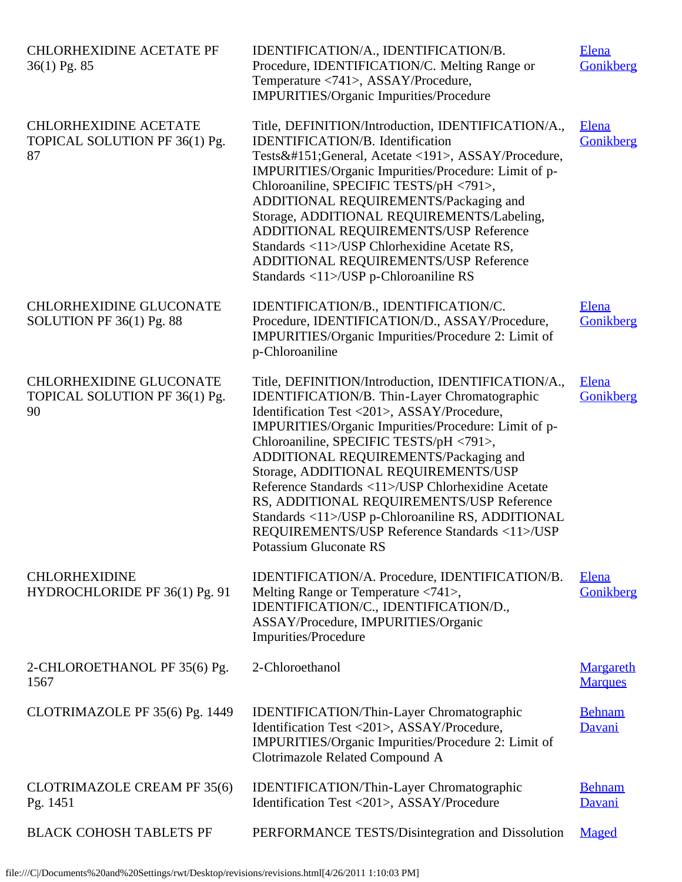| <b>CHLORHEXIDINE ACETATE PF</b><br>36(1) Pg. 85                       | IDENTIFICATION/A., IDENTIFICATION/B.<br>Procedure, IDENTIFICATION/C. Melting Range or<br>Temperature <741>, ASSAY/Procedure,<br><b>IMPURITIES/Organic Impurities/Procedure</b>                                                                                                                                                                                                                                                                                                                                                                                           | <b>Elena</b><br>Gonikberg          |
|-----------------------------------------------------------------------|--------------------------------------------------------------------------------------------------------------------------------------------------------------------------------------------------------------------------------------------------------------------------------------------------------------------------------------------------------------------------------------------------------------------------------------------------------------------------------------------------------------------------------------------------------------------------|------------------------------------|
| <b>CHLORHEXIDINE ACETATE</b><br>TOPICAL SOLUTION PF 36(1) Pg.<br>87   | Title, DEFINITION/Introduction, IDENTIFICATION/A.,<br><b>IDENTIFICATION/B.</b> Identification<br>Tests—General, Acetate <191>, ASSAY/Procedure,<br>IMPURITIES/Organic Impurities/Procedure: Limit of p-<br>Chloroaniline, SPECIFIC TESTS/pH <791>,<br>ADDITIONAL REQUIREMENTS/Packaging and<br>Storage, ADDITIONAL REQUIREMENTS/Labeling,<br>ADDITIONAL REQUIREMENTS/USP Reference<br>Standards <11>/USP Chlorhexidine Acetate RS,<br>ADDITIONAL REQUIREMENTS/USP Reference<br>Standards <11>/USP p-Chloroaniline RS                                                     | Elena<br>Gonikberg                 |
| <b>CHLORHEXIDINE GLUCONATE</b><br>SOLUTION PF 36(1) Pg. 88            | IDENTIFICATION/B., IDENTIFICATION/C.<br>Procedure, IDENTIFICATION/D., ASSAY/Procedure,<br>IMPURITIES/Organic Impurities/Procedure 2: Limit of<br>p-Chloroaniline                                                                                                                                                                                                                                                                                                                                                                                                         | Elena<br>Gonikberg                 |
| <b>CHLORHEXIDINE GLUCONATE</b><br>TOPICAL SOLUTION PF 36(1) Pg.<br>90 | Title, DEFINITION/Introduction, IDENTIFICATION/A.,<br>IDENTIFICATION/B. Thin-Layer Chromatographic<br>Identification Test <201>, ASSAY/Procedure,<br>IMPURITIES/Organic Impurities/Procedure: Limit of p-<br>Chloroaniline, SPECIFIC TESTS/pH <791>,<br>ADDITIONAL REQUIREMENTS/Packaging and<br>Storage, ADDITIONAL REQUIREMENTS/USP<br>Reference Standards <11>/USP Chlorhexidine Acetate<br>RS, ADDITIONAL REQUIREMENTS/USP Reference<br>Standards <11>/USP p-Chloroaniline RS, ADDITIONAL<br>REQUIREMENTS/USP Reference Standards <11>/USP<br>Potassium Gluconate RS | Elena<br>Gonikberg                 |
| <b>CHLORHEXIDINE</b><br>HYDROCHLORIDE PF 36(1) Pg. 91                 | IDENTIFICATION/A. Procedure, IDENTIFICATION/B.<br>Melting Range or Temperature <741>,<br>IDENTIFICATION/C., IDENTIFICATION/D.,<br>ASSAY/Procedure, IMPURITIES/Organic<br>Impurities/Procedure                                                                                                                                                                                                                                                                                                                                                                            | Elena<br>Gonikberg                 |
| 2-CHLOROETHANOL PF 35(6) Pg.<br>1567                                  | 2-Chloroethanol                                                                                                                                                                                                                                                                                                                                                                                                                                                                                                                                                          | <b>Margareth</b><br><b>Marques</b> |
| CLOTRIMAZOLE PF 35(6) Pg. 1449                                        | <b>IDENTIFICATION/Thin-Layer Chromatographic</b><br>Identification Test <201>, ASSAY/Procedure,<br>IMPURITIES/Organic Impurities/Procedure 2: Limit of<br>Clotrimazole Related Compound A                                                                                                                                                                                                                                                                                                                                                                                | <b>Behnam</b><br>Davani            |
| <b>CLOTRIMAZOLE CREAM PF 35(6)</b><br>Pg. 1451                        | IDENTIFICATION/Thin-Layer Chromatographic<br>Identification Test <201>, ASSAY/Procedure                                                                                                                                                                                                                                                                                                                                                                                                                                                                                  | <b>Behnam</b><br>Davani            |
| <b>BLACK COHOSH TABLETS PF</b>                                        | PERFORMANCE TESTS/Disintegration and Dissolution                                                                                                                                                                                                                                                                                                                                                                                                                                                                                                                         | Maged                              |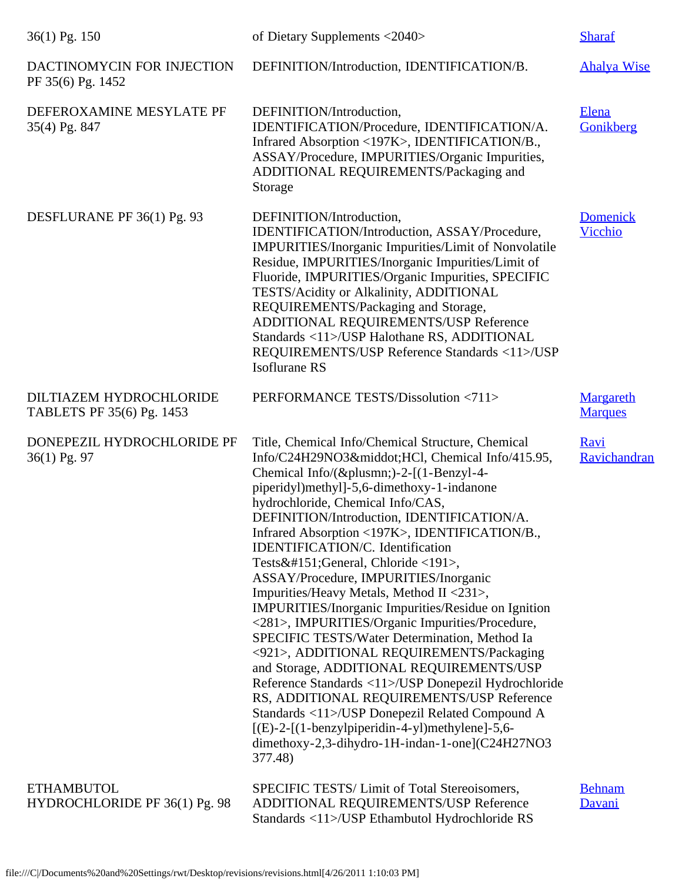| 36(1) Pg. 150                                        | of Dietary Supplements <2040>                                                                                                                                                                                                                                                                                                                                                                                                                                                                                                                                                                                                                                                                                                                                                                                                                                                                                                                                                                                         | <b>Sharaf</b>               |
|------------------------------------------------------|-----------------------------------------------------------------------------------------------------------------------------------------------------------------------------------------------------------------------------------------------------------------------------------------------------------------------------------------------------------------------------------------------------------------------------------------------------------------------------------------------------------------------------------------------------------------------------------------------------------------------------------------------------------------------------------------------------------------------------------------------------------------------------------------------------------------------------------------------------------------------------------------------------------------------------------------------------------------------------------------------------------------------|-----------------------------|
| DACTINOMYCIN FOR INJECTION<br>PF 35(6) Pg. 1452      | DEFINITION/Introduction, IDENTIFICATION/B.                                                                                                                                                                                                                                                                                                                                                                                                                                                                                                                                                                                                                                                                                                                                                                                                                                                                                                                                                                            | <b>Ahalya Wise</b>          |
| DEFEROXAMINE MESYLATE PF<br>35(4) Pg. 847            | DEFINITION/Introduction,<br>IDENTIFICATION/Procedure, IDENTIFICATION/A.<br>Infrared Absorption <197K>, IDENTIFICATION/B.,<br>ASSAY/Procedure, IMPURITIES/Organic Impurities,<br>ADDITIONAL REQUIREMENTS/Packaging and<br>Storage                                                                                                                                                                                                                                                                                                                                                                                                                                                                                                                                                                                                                                                                                                                                                                                      | Elena<br>Gonikberg          |
| DESFLURANE PF 36(1) Pg. 93                           | DEFINITION/Introduction,<br>IDENTIFICATION/Introduction, ASSAY/Procedure,<br><b>IMPURITIES/Inorganic Impurities/Limit of Nonvolatile</b><br>Residue, IMPURITIES/Inorganic Impurities/Limit of<br>Fluoride, IMPURITIES/Organic Impurities, SPECIFIC<br>TESTS/Acidity or Alkalinity, ADDITIONAL<br>REQUIREMENTS/Packaging and Storage,<br>ADDITIONAL REQUIREMENTS/USP Reference<br>Standards <11>/USP Halothane RS, ADDITIONAL<br>REQUIREMENTS/USP Reference Standards <11>/USP<br><b>Isoflurane RS</b>                                                                                                                                                                                                                                                                                                                                                                                                                                                                                                                 | <b>Domenick</b><br>Vicchio  |
| DILTIAZEM HYDROCHLORIDE<br>TABLETS PF 35(6) Pg. 1453 | PERFORMANCE TESTS/Dissolution <711>                                                                                                                                                                                                                                                                                                                                                                                                                                                                                                                                                                                                                                                                                                                                                                                                                                                                                                                                                                                   | Margareth<br><b>Marques</b> |
| DONEPEZIL HYDROCHLORIDE PF<br>36(1) Pg. 97           | Title, Chemical Info/Chemical Structure, Chemical<br>Info/C24H29NO3·HCl, Chemical Info/415.95,<br>Chemical Info/(±)-2-[(1-Benzyl-4-<br>piperidyl)methyl]-5,6-dimethoxy-1-indanone<br>hydrochloride, Chemical Info/CAS,<br>DEFINITION/Introduction, IDENTIFICATION/A.<br>Infrared Absorption <197K>, IDENTIFICATION/B.,<br>IDENTIFICATION/C. Identification<br>Tests—General, Chloride <191>,<br>ASSAY/Procedure, IMPURITIES/Inorganic<br>Impurities/Heavy Metals, Method II <231>,<br><b>IMPURITIES/Inorganic Impurities/Residue on Ignition</b><br><281>, IMPURITIES/Organic Impurities/Procedure,<br>SPECIFIC TESTS/Water Determination, Method Ia<br><921>, ADDITIONAL REQUIREMENTS/Packaging<br>and Storage, ADDITIONAL REQUIREMENTS/USP<br>Reference Standards <11>/USP Donepezil Hydrochloride<br>RS, ADDITIONAL REQUIREMENTS/USP Reference<br>Standards <11>/USP Donepezil Related Compound A<br>[(E)-2-[(1-benzylpiperidin-4-yl)methylene]-5,6-<br>dimethoxy-2,3-dihydro-1H-indan-1-one](C24H27NO3<br>377.48) | <b>Ravi</b><br>Ravichandran |
| <b>ETHAMBUTOL</b><br>HYDROCHLORIDE PF 36(1) Pg. 98   | SPECIFIC TESTS/Limit of Total Stereoisomers,<br>ADDITIONAL REQUIREMENTS/USP Reference<br>Standards <11>/USP Ethambutol Hydrochloride RS                                                                                                                                                                                                                                                                                                                                                                                                                                                                                                                                                                                                                                                                                                                                                                                                                                                                               | <b>Behnam</b><br>Davani     |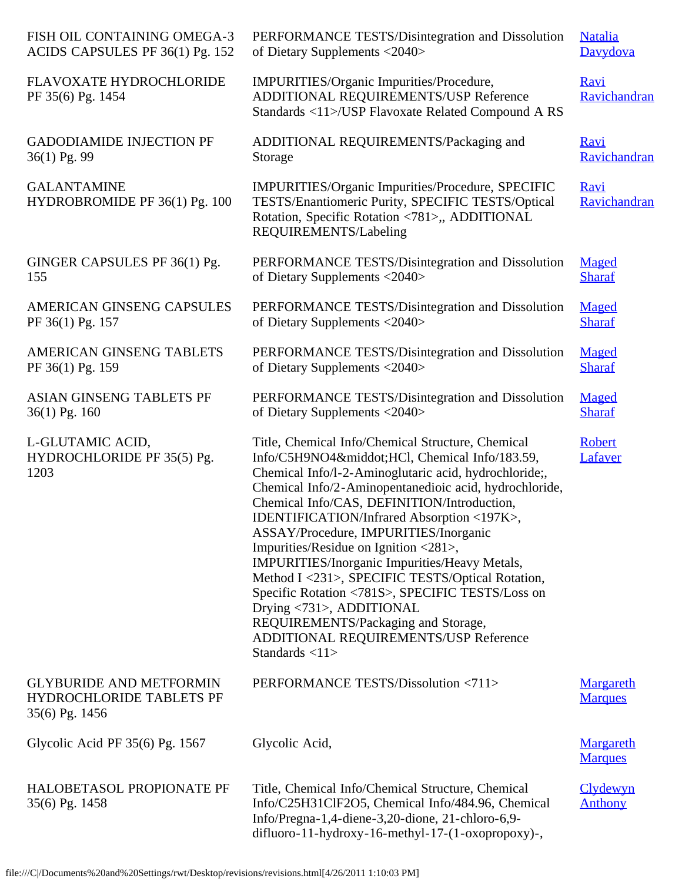| FISH OIL CONTAINING OMEGA-3                                                         | PERFORMANCE TESTS/Disintegration and Dissolution                                                                                                                                                                                                                                                                                                                                                                                                                                                                                                                                                                                                                                                     | <b>Natalia</b>                     |
|-------------------------------------------------------------------------------------|------------------------------------------------------------------------------------------------------------------------------------------------------------------------------------------------------------------------------------------------------------------------------------------------------------------------------------------------------------------------------------------------------------------------------------------------------------------------------------------------------------------------------------------------------------------------------------------------------------------------------------------------------------------------------------------------------|------------------------------------|
| ACIDS CAPSULES PF 36(1) Pg. 152                                                     | of Dietary Supplements <2040>                                                                                                                                                                                                                                                                                                                                                                                                                                                                                                                                                                                                                                                                        | Davydova                           |
| <b>FLAVOXATE HYDROCHLORIDE</b><br>PF 35(6) Pg. 1454                                 | IMPURITIES/Organic Impurities/Procedure,<br>ADDITIONAL REQUIREMENTS/USP Reference<br>Standards <11>/USP Flavoxate Related Compound A RS                                                                                                                                                                                                                                                                                                                                                                                                                                                                                                                                                              | <b>Ravi</b><br>Ravichandran        |
| <b>GADODIAMIDE INJECTION PF</b>                                                     | ADDITIONAL REQUIREMENTS/Packaging and                                                                                                                                                                                                                                                                                                                                                                                                                                                                                                                                                                                                                                                                | <b>Ravi</b>                        |
| 36(1) Pg. 99                                                                        | Storage                                                                                                                                                                                                                                                                                                                                                                                                                                                                                                                                                                                                                                                                                              | Ravichandran                       |
| <b>GALANTAMINE</b><br>HYDROBROMIDE PF 36(1) Pg. 100                                 | IMPURITIES/Organic Impurities/Procedure, SPECIFIC<br>TESTS/Enantiomeric Purity, SPECIFIC TESTS/Optical<br>Rotation, Specific Rotation <781>,, ADDITIONAL<br>REQUIREMENTS/Labeling                                                                                                                                                                                                                                                                                                                                                                                                                                                                                                                    | <b>Ravi</b><br>Ravichandran        |
| GINGER CAPSULES PF 36(1) Pg.                                                        | PERFORMANCE TESTS/Disintegration and Dissolution                                                                                                                                                                                                                                                                                                                                                                                                                                                                                                                                                                                                                                                     | Maged                              |
| 155                                                                                 | of Dietary Supplements <2040>                                                                                                                                                                                                                                                                                                                                                                                                                                                                                                                                                                                                                                                                        | <b>Sharaf</b>                      |
| AMERICAN GINSENG CAPSULES                                                           | PERFORMANCE TESTS/Disintegration and Dissolution                                                                                                                                                                                                                                                                                                                                                                                                                                                                                                                                                                                                                                                     | Maged                              |
| PF 36(1) Pg. 157                                                                    | of Dietary Supplements <2040>                                                                                                                                                                                                                                                                                                                                                                                                                                                                                                                                                                                                                                                                        | <b>Sharaf</b>                      |
| AMERICAN GINSENG TABLETS                                                            | PERFORMANCE TESTS/Disintegration and Dissolution                                                                                                                                                                                                                                                                                                                                                                                                                                                                                                                                                                                                                                                     | Maged                              |
| PF 36(1) Pg. 159                                                                    | of Dietary Supplements <2040>                                                                                                                                                                                                                                                                                                                                                                                                                                                                                                                                                                                                                                                                        | <b>Sharaf</b>                      |
| ASIAN GINSENG TABLETS PF                                                            | PERFORMANCE TESTS/Disintegration and Dissolution                                                                                                                                                                                                                                                                                                                                                                                                                                                                                                                                                                                                                                                     | Maged                              |
| $36(1)$ Pg. 160                                                                     | of Dietary Supplements <2040>                                                                                                                                                                                                                                                                                                                                                                                                                                                                                                                                                                                                                                                                        | <b>Sharaf</b>                      |
| L-GLUTAMIC ACID,<br>HYDROCHLORIDE PF 35(5) Pg.<br>1203                              | Title, Chemical Info/Chemical Structure, Chemical<br>Info/C5H9NO4·HCl, Chemical Info/183.59,<br>Chemical Info/l-2-Aminoglutaric acid, hydrochloride;,<br>Chemical Info/2-Aminopentanedioic acid, hydrochloride,<br>Chemical Info/CAS, DEFINITION/Introduction,<br>IDENTIFICATION/Infrared Absorption <197K><br>ASSAY/Procedure, IMPURITIES/Inorganic<br>Impurities/Residue on Ignition <281>,<br>IMPURITIES/Inorganic Impurities/Heavy Metals,<br>Method I <231>, SPECIFIC TESTS/Optical Rotation,<br>Specific Rotation <781S>, SPECIFIC TESTS/Loss on<br>Drying <731>, ADDITIONAL<br>REQUIREMENTS/Packaging and Storage,<br>ADDITIONAL REQUIREMENTS/USP Reference<br>Standards $\langle 11 \rangle$ | Robert<br>Lafaver                  |
| <b>GLYBURIDE AND METFORMIN</b><br><b>HYDROCHLORIDE TABLETS PF</b><br>35(6) Pg. 1456 | PERFORMANCE TESTS/Dissolution <711>                                                                                                                                                                                                                                                                                                                                                                                                                                                                                                                                                                                                                                                                  | <b>Margareth</b><br><b>Marques</b> |
| Glycolic Acid PF $35(6)$ Pg. 1567                                                   | Glycolic Acid,                                                                                                                                                                                                                                                                                                                                                                                                                                                                                                                                                                                                                                                                                       | <b>Margareth</b><br><b>Marques</b> |
| <b>HALOBETASOL PROPIONATE PF</b><br>35(6) Pg. 1458                                  | Title, Chemical Info/Chemical Structure, Chemical<br>Info/C25H31ClF2O5, Chemical Info/484.96, Chemical<br>Info/Pregna-1,4-diene-3,20-dione, 21-chloro-6,9-<br>difluoro-11-hydroxy-16-methyl-17-(1-oxopropoxy)-,                                                                                                                                                                                                                                                                                                                                                                                                                                                                                      | Clydewyn<br><b>Anthony</b>         |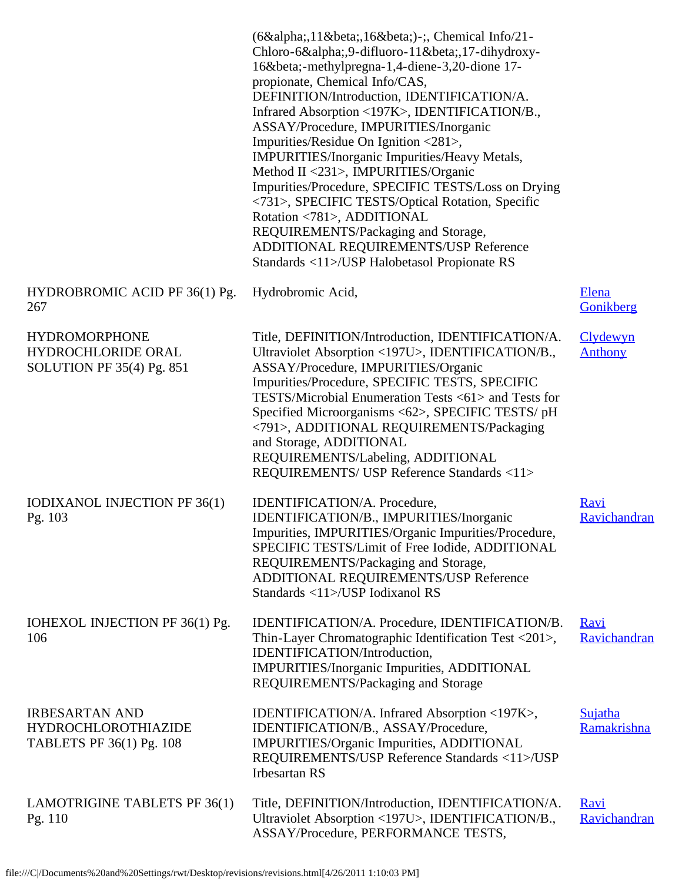|                                                                                 | (6α,11β,16β)-;, Chemical Info/21-<br>Chloro-6α,9-difluoro-11β,17-dihydroxy-<br>16β-methylpregna-1,4-diene-3,20-dione 17-<br>propionate, Chemical Info/CAS,<br>DEFINITION/Introduction, IDENTIFICATION/A.<br>Infrared Absorption <197K>, IDENTIFICATION/B.,<br>ASSAY/Procedure, IMPURITIES/Inorganic<br>Impurities/Residue On Ignition <281>,<br>IMPURITIES/Inorganic Impurities/Heavy Metals,<br>Method II <231>, IMPURITIES/Organic<br>Impurities/Procedure, SPECIFIC TESTS/Loss on Drying<br><731>, SPECIFIC TESTS/Optical Rotation, Specific<br>Rotation <781>, ADDITIONAL<br>REQUIREMENTS/Packaging and Storage,<br>ADDITIONAL REQUIREMENTS/USP Reference<br>Standards <11>/USP Halobetasol Propionate RS |                             |
|---------------------------------------------------------------------------------|---------------------------------------------------------------------------------------------------------------------------------------------------------------------------------------------------------------------------------------------------------------------------------------------------------------------------------------------------------------------------------------------------------------------------------------------------------------------------------------------------------------------------------------------------------------------------------------------------------------------------------------------------------------------------------------------------------------|-----------------------------|
| HYDROBROMIC ACID PF 36(1) Pg.<br>267                                            | Hydrobromic Acid,                                                                                                                                                                                                                                                                                                                                                                                                                                                                                                                                                                                                                                                                                             | Elena<br>Gonikberg          |
| <b>HYDROMORPHONE</b><br>HYDROCHLORIDE ORAL<br>SOLUTION PF $35(4)$ Pg. 851       | Title, DEFINITION/Introduction, IDENTIFICATION/A.<br>Ultraviolet Absorption <197U>, IDENTIFICATION/B.,<br>ASSAY/Procedure, IMPURITIES/Organic<br>Impurities/Procedure, SPECIFIC TESTS, SPECIFIC<br>TESTS/Microbial Enumeration Tests <61> and Tests for<br>Specified Microorganisms <62>, SPECIFIC TESTS/ pH<br><791>, ADDITIONAL REQUIREMENTS/Packaging<br>and Storage, ADDITIONAL<br>REQUIREMENTS/Labeling, ADDITIONAL<br>REQUIREMENTS/ USP Reference Standards <11>                                                                                                                                                                                                                                        | Clydewyn<br><b>Anthony</b>  |
| IODIXANOL INJECTION PF 36(1)<br>Pg. 103                                         | IDENTIFICATION/A. Procedure,<br>IDENTIFICATION/B., IMPURITIES/Inorganic<br>Impurities, IMPURITIES/Organic Impurities/Procedure,<br>SPECIFIC TESTS/Limit of Free Iodide, ADDITIONAL<br>REQUIREMENTS/Packaging and Storage,<br>ADDITIONAL REQUIREMENTS/USP Reference<br>Standards <11>/USP Iodixanol RS                                                                                                                                                                                                                                                                                                                                                                                                         | <u>Ravi</u><br>Ravichandran |
| IOHEXOL INJECTION PF 36(1) Pg.<br>106                                           | IDENTIFICATION/A. Procedure, IDENTIFICATION/B.<br>Thin-Layer Chromatographic Identification Test <201>,<br>IDENTIFICATION/Introduction,<br>IMPURITIES/Inorganic Impurities, ADDITIONAL<br>REQUIREMENTS/Packaging and Storage                                                                                                                                                                                                                                                                                                                                                                                                                                                                                  | <u>Ravi</u><br>Ravichandran |
| <b>IRBESARTAN AND</b><br><b>HYDROCHLOROTHIAZIDE</b><br>TABLETS PF 36(1) Pg. 108 | IDENTIFICATION/A. Infrared Absorption <197K>,<br>IDENTIFICATION/B., ASSAY/Procedure,<br>IMPURITIES/Organic Impurities, ADDITIONAL<br>REQUIREMENTS/USP Reference Standards <11>/USP<br><b>Irbesartan RS</b>                                                                                                                                                                                                                                                                                                                                                                                                                                                                                                    | Sujatha<br>Ramakrishna      |
| LAMOTRIGINE TABLETS PF 36(1)<br>Pg. 110                                         | Title, DEFINITION/Introduction, IDENTIFICATION/A.<br>Ultraviolet Absorption <197U>, IDENTIFICATION/B.,<br>ASSAY/Procedure, PERFORMANCE TESTS,                                                                                                                                                                                                                                                                                                                                                                                                                                                                                                                                                                 | <u>Ravi</u><br>Ravichandran |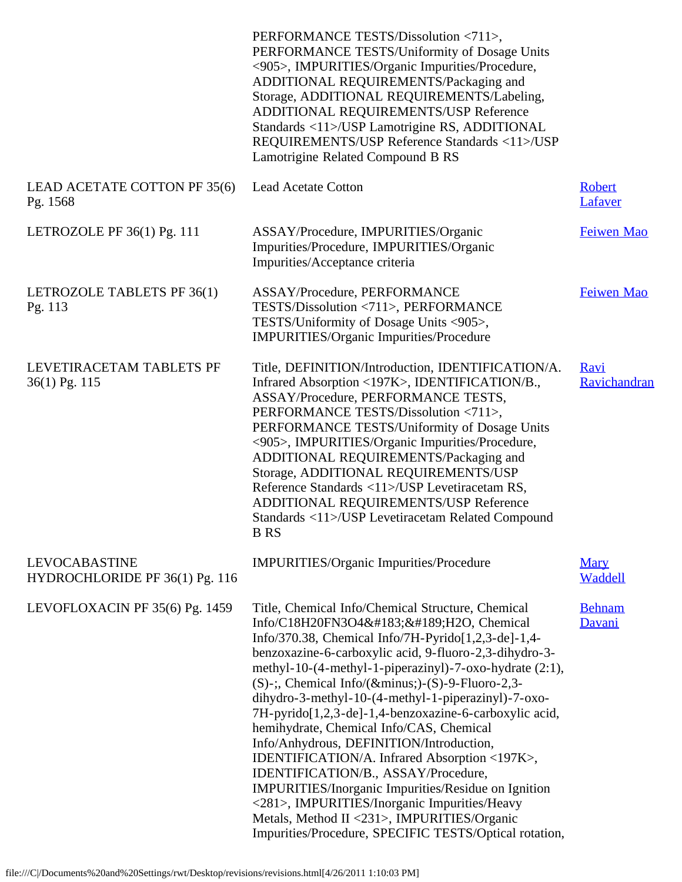|                                                        | PERFORMANCE TESTS/Dissolution <711>,<br>PERFORMANCE TESTS/Uniformity of Dosage Units<br><905>, IMPURITIES/Organic Impurities/Procedure,<br>ADDITIONAL REQUIREMENTS/Packaging and<br>Storage, ADDITIONAL REQUIREMENTS/Labeling,<br>ADDITIONAL REQUIREMENTS/USP Reference<br>Standards <11>/USP Lamotrigine RS, ADDITIONAL<br>REQUIREMENTS/USP Reference Standards <11>/USP<br>Lamotrigine Related Compound B RS                                                                                                                                                                                                                                                                                                                                                                                                                                |                             |
|--------------------------------------------------------|-----------------------------------------------------------------------------------------------------------------------------------------------------------------------------------------------------------------------------------------------------------------------------------------------------------------------------------------------------------------------------------------------------------------------------------------------------------------------------------------------------------------------------------------------------------------------------------------------------------------------------------------------------------------------------------------------------------------------------------------------------------------------------------------------------------------------------------------------|-----------------------------|
| LEAD ACETATE COTTON PF 35(6)<br>Pg. 1568               | <b>Lead Acetate Cotton</b>                                                                                                                                                                                                                                                                                                                                                                                                                                                                                                                                                                                                                                                                                                                                                                                                                    | <b>Robert</b><br>Lafaver    |
| LETROZOLE PF $36(1)$ Pg. 111                           | ASSAY/Procedure, IMPURITIES/Organic<br>Impurities/Procedure, IMPURITIES/Organic<br>Impurities/Acceptance criteria                                                                                                                                                                                                                                                                                                                                                                                                                                                                                                                                                                                                                                                                                                                             | Feiwen Mao                  |
| LETROZOLE TABLETS PF 36(1)<br>Pg. 113                  | ASSAY/Procedure, PERFORMANCE<br>TESTS/Dissolution <711>, PERFORMANCE<br>TESTS/Uniformity of Dosage Units <905>,<br><b>IMPURITIES/Organic Impurities/Procedure</b>                                                                                                                                                                                                                                                                                                                                                                                                                                                                                                                                                                                                                                                                             | Feiwen Mao                  |
| LEVETIRACETAM TABLETS PF<br>36(1) Pg. 115              | Title, DEFINITION/Introduction, IDENTIFICATION/A.<br>Infrared Absorption <197K>, IDENTIFICATION/B.,<br>ASSAY/Procedure, PERFORMANCE TESTS,<br>PERFORMANCE TESTS/Dissolution <711>,<br>PERFORMANCE TESTS/Uniformity of Dosage Units<br><905>, IMPURITIES/Organic Impurities/Procedure,<br>ADDITIONAL REQUIREMENTS/Packaging and<br>Storage, ADDITIONAL REQUIREMENTS/USP<br>Reference Standards <11>/USP Levetiracetam RS,<br>ADDITIONAL REQUIREMENTS/USP Reference<br>Standards <11>/USP Levetiracetam Related Compound<br><b>B</b> RS                                                                                                                                                                                                                                                                                                         | <b>Ravi</b><br>Ravichandran |
| <b>LEVOCABASTINE</b><br>HYDROCHLORIDE PF 36(1) Pg. 116 | IMPURITIES/Organic Impurities/Procedure                                                                                                                                                                                                                                                                                                                                                                                                                                                                                                                                                                                                                                                                                                                                                                                                       | <b>Mary</b><br>Waddell      |
| LEVOFLOXACIN PF 35(6) Pg. 1459                         | Title, Chemical Info/Chemical Structure, Chemical<br>Info/C18H20FN3O4·½H2O, Chemical<br>Info/370.38, Chemical Info/7H-Pyrido[1,2,3-de]-1,4-<br>benzoxazine-6-carboxylic acid, 9-fluoro-2,3-dihydro-3-<br>methyl-10-(4-methyl-1-piperazinyl)-7-oxo-hydrate (2:1),<br>$(S)$ -;, Chemical Info/(−)- $(S)$ -9-Fluoro-2,3-<br>dihydro-3-methyl-10-(4-methyl-1-piperazinyl)-7-oxo-<br>7H-pyrido[1,2,3-de]-1,4-benzoxazine-6-carboxylic acid,<br>hemihydrate, Chemical Info/CAS, Chemical<br>Info/Anhydrous, DEFINITION/Introduction,<br>IDENTIFICATION/A. Infrared Absorption <197K>,<br>IDENTIFICATION/B., ASSAY/Procedure,<br><b>IMPURITIES/Inorganic Impurities/Residue on Ignition</b><br><281>, IMPURITIES/Inorganic Impurities/Heavy<br>Metals, Method II <231>, IMPURITIES/Organic<br>Impurities/Procedure, SPECIFIC TESTS/Optical rotation, | <b>Behnam</b><br>Davani     |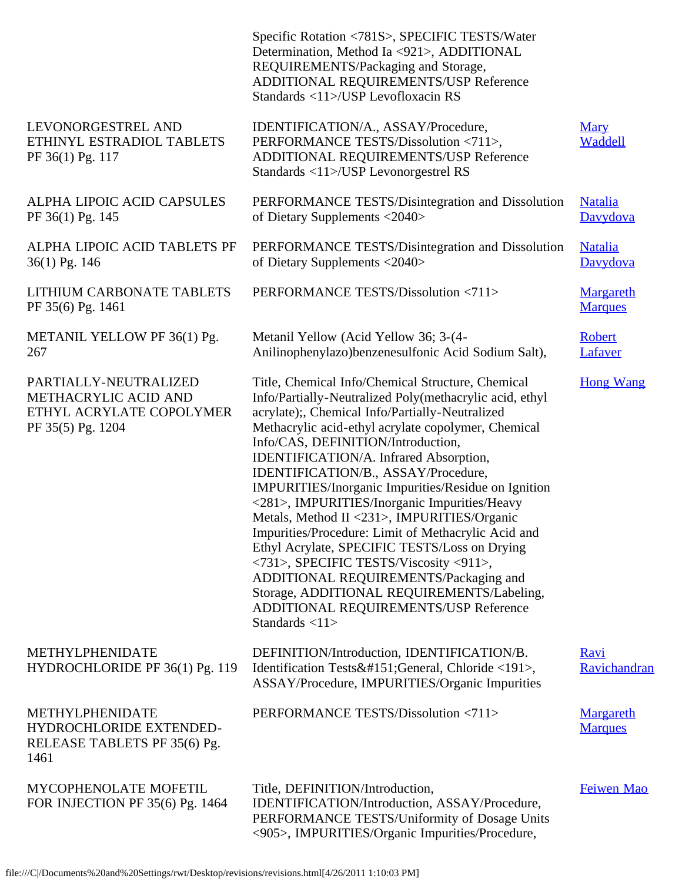|                                                                                                | Specific Rotation <781S>, SPECIFIC TESTS/Water<br>Determination, Method Ia <921>, ADDITIONAL<br>REQUIREMENTS/Packaging and Storage,<br>ADDITIONAL REQUIREMENTS/USP Reference<br>Standards <11>/USP Levofloxacin RS                                                                                                                                                                                                                                                                                                                                                                                                                                                                                                                                                                                                      |                             |
|------------------------------------------------------------------------------------------------|-------------------------------------------------------------------------------------------------------------------------------------------------------------------------------------------------------------------------------------------------------------------------------------------------------------------------------------------------------------------------------------------------------------------------------------------------------------------------------------------------------------------------------------------------------------------------------------------------------------------------------------------------------------------------------------------------------------------------------------------------------------------------------------------------------------------------|-----------------------------|
| LEVONORGESTREL AND<br>ETHINYL ESTRADIOL TABLETS<br>PF 36(1) Pg. 117                            | IDENTIFICATION/A., ASSAY/Procedure,<br>PERFORMANCE TESTS/Dissolution <711>,<br>ADDITIONAL REQUIREMENTS/USP Reference<br>Standards <11>/USP Levonorgestrel RS                                                                                                                                                                                                                                                                                                                                                                                                                                                                                                                                                                                                                                                            | <b>Mary</b><br>Waddell      |
| ALPHA LIPOIC ACID CAPSULES<br>PF 36(1) Pg. 145                                                 | PERFORMANCE TESTS/Disintegration and Dissolution<br>of Dietary Supplements <2040>                                                                                                                                                                                                                                                                                                                                                                                                                                                                                                                                                                                                                                                                                                                                       | <b>Natalia</b><br>Davydova  |
| ALPHA LIPOIC ACID TABLETS PF<br>36(1) Pg. 146                                                  | PERFORMANCE TESTS/Disintegration and Dissolution<br>of Dietary Supplements <2040>                                                                                                                                                                                                                                                                                                                                                                                                                                                                                                                                                                                                                                                                                                                                       | <b>Natalia</b><br>Davydova  |
| LITHIUM CARBONATE TABLETS<br>PF 35(6) Pg. 1461                                                 | PERFORMANCE TESTS/Dissolution <711>                                                                                                                                                                                                                                                                                                                                                                                                                                                                                                                                                                                                                                                                                                                                                                                     | Margareth<br><b>Marques</b> |
| METANIL YELLOW PF 36(1) Pg.<br>267                                                             | Metanil Yellow (Acid Yellow 36; 3-(4-<br>Anilinophenylazo) benzenesulfonic Acid Sodium Salt),                                                                                                                                                                                                                                                                                                                                                                                                                                                                                                                                                                                                                                                                                                                           | <b>Robert</b><br>Lafaver    |
| PARTIALLY-NEUTRALIZED<br>METHACRYLIC ACID AND<br>ETHYL ACRYLATE COPOLYMER<br>PF 35(5) Pg. 1204 | Title, Chemical Info/Chemical Structure, Chemical<br>Info/Partially-Neutralized Poly(methacrylic acid, ethyl<br>acrylate);, Chemical Info/Partially-Neutralized<br>Methacrylic acid-ethyl acrylate copolymer, Chemical<br>Info/CAS, DEFINITION/Introduction,<br>IDENTIFICATION/A. Infrared Absorption,<br>IDENTIFICATION/B., ASSAY/Procedure,<br>IMPURITIES/Inorganic Impurities/Residue on Ignition<br><281>, IMPURITIES/Inorganic Impurities/Heavy<br>Metals, Method II <231>, IMPURITIES/Organic<br>Impurities/Procedure: Limit of Methacrylic Acid and<br>Ethyl Acrylate, SPECIFIC TESTS/Loss on Drying<br><731>, SPECIFIC TESTS/Viscosity <911>,<br>ADDITIONAL REQUIREMENTS/Packaging and<br>Storage, ADDITIONAL REQUIREMENTS/Labeling,<br>ADDITIONAL REQUIREMENTS/USP Reference<br>Standards $\langle 11 \rangle$ | <b>Hong Wang</b>            |
| METHYLPHENIDATE<br>HYDROCHLORIDE PF 36(1) Pg. 119                                              | DEFINITION/Introduction, IDENTIFICATION/B.<br>Identification Tests—General, Chloride <191>,<br>ASSAY/Procedure, IMPURITIES/Organic Impurities                                                                                                                                                                                                                                                                                                                                                                                                                                                                                                                                                                                                                                                                           | <b>Ravi</b><br>Ravichandran |
| METHYLPHENIDATE<br>HYDROCHLORIDE EXTENDED-<br>RELEASE TABLETS PF 35(6) Pg.<br>1461             | PERFORMANCE TESTS/Dissolution <711>                                                                                                                                                                                                                                                                                                                                                                                                                                                                                                                                                                                                                                                                                                                                                                                     | Margareth<br><b>Marques</b> |
| MYCOPHENOLATE MOFETIL<br>FOR INJECTION PF 35(6) Pg. 1464                                       | Title, DEFINITION/Introduction,<br>IDENTIFICATION/Introduction, ASSAY/Procedure,<br>PERFORMANCE TESTS/Uniformity of Dosage Units<br><905>, IMPURITIES/Organic Impurities/Procedure,                                                                                                                                                                                                                                                                                                                                                                                                                                                                                                                                                                                                                                     | Feiwen Mao                  |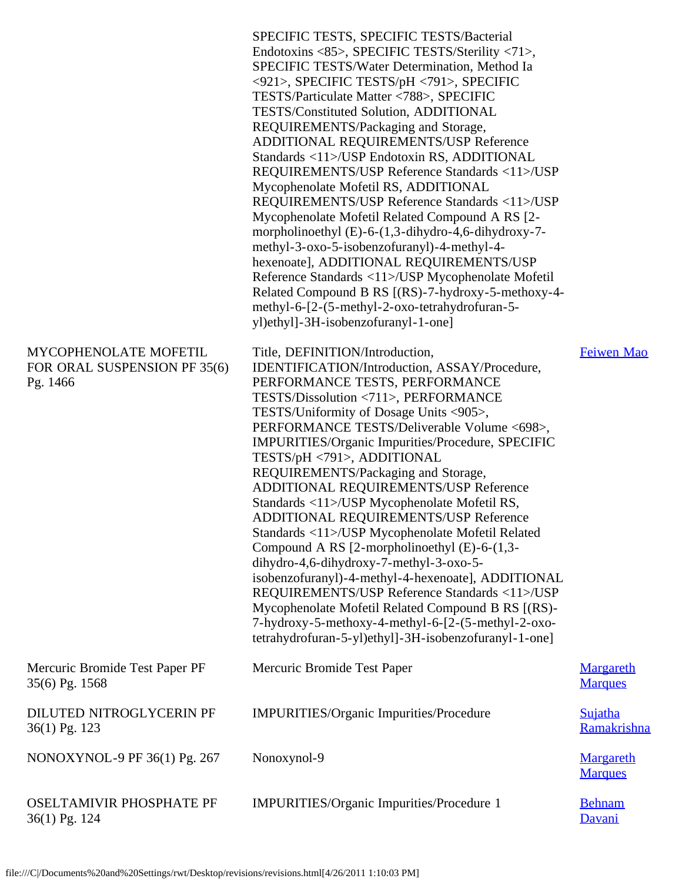|                                                                   | SPECIFIC TESTS, SPECIFIC TESTS/Bacterial<br>Endotoxins <85>, SPECIFIC TESTS/Sterility <71>,<br>SPECIFIC TESTS/Water Determination, Method Ia<br><921>, SPECIFIC TESTS/pH <791>, SPECIFIC<br>TESTS/Particulate Matter <788>, SPECIFIC<br>TESTS/Constituted Solution, ADDITIONAL<br>REQUIREMENTS/Packaging and Storage,<br>ADDITIONAL REQUIREMENTS/USP Reference<br>Standards <11>/USP Endotoxin RS, ADDITIONAL<br>REQUIREMENTS/USP Reference Standards <11>/USP<br>Mycophenolate Mofetil RS, ADDITIONAL<br>REQUIREMENTS/USP Reference Standards <11>/USP<br>Mycophenolate Mofetil Related Compound A RS [2-<br>morpholinoethyl $(E)$ -6- $(1,3$ -dihydro-4,6-dihydroxy-7-<br>methyl-3-oxo-5-isobenzofuranyl)-4-methyl-4-<br>hexenoate], ADDITIONAL REQUIREMENTS/USP<br>Reference Standards <11>/USP Mycophenolate Mofetil<br>Related Compound B RS [(RS)-7-hydroxy-5-methoxy-4-<br>methyl-6-[2-(5-methyl-2-oxo-tetrahydrofuran-5-<br>yl)ethyl]-3H-isobenzofuranyl-1-one] |                                    |
|-------------------------------------------------------------------|-------------------------------------------------------------------------------------------------------------------------------------------------------------------------------------------------------------------------------------------------------------------------------------------------------------------------------------------------------------------------------------------------------------------------------------------------------------------------------------------------------------------------------------------------------------------------------------------------------------------------------------------------------------------------------------------------------------------------------------------------------------------------------------------------------------------------------------------------------------------------------------------------------------------------------------------------------------------------|------------------------------------|
| MYCOPHENOLATE MOFETIL<br>FOR ORAL SUSPENSION PF 35(6)<br>Pg. 1466 | Title, DEFINITION/Introduction,<br>IDENTIFICATION/Introduction, ASSAY/Procedure,<br>PERFORMANCE TESTS, PERFORMANCE<br>TESTS/Dissolution <711>, PERFORMANCE<br>TESTS/Uniformity of Dosage Units <905>,<br>PERFORMANCE TESTS/Deliverable Volume <698>,<br>IMPURITIES/Organic Impurities/Procedure, SPECIFIC<br>TESTS/pH <791>, ADDITIONAL<br>REQUIREMENTS/Packaging and Storage,<br>ADDITIONAL REQUIREMENTS/USP Reference<br>Standards <11>/USP Mycophenolate Mofetil RS,<br><b>ADDITIONAL REQUIREMENTS/USP Reference</b><br>Standards <11>/USP Mycophenolate Mofetil Related<br>Compound A RS [2-morpholinoethyl (E)-6-(1,3-<br>dihydro-4,6-dihydroxy-7-methyl-3-oxo-5-<br>isobenzofuranyl)-4-methyl-4-hexenoate], ADDITIONAL<br>REQUIREMENTS/USP Reference Standards <11>/USP<br>Mycophenolate Mofetil Related Compound B RS [(RS)-<br>7-hydroxy-5-methoxy-4-methyl-6-[2-(5-methyl-2-oxo-<br>tetrahydrofuran-5-yl)ethyl]-3H-isobenzofuranyl-1-one]                      | Feiwen Mao                         |
| Mercuric Bromide Test Paper PF<br>35(6) Pg. 1568                  | Mercuric Bromide Test Paper                                                                                                                                                                                                                                                                                                                                                                                                                                                                                                                                                                                                                                                                                                                                                                                                                                                                                                                                             | <b>Margareth</b><br><b>Marques</b> |
| DILUTED NITROGLYCERIN PF<br>36(1) Pg. 123                         | IMPURITIES/Organic Impurities/Procedure                                                                                                                                                                                                                                                                                                                                                                                                                                                                                                                                                                                                                                                                                                                                                                                                                                                                                                                                 | Sujatha<br>Ramakrishna             |
| NONOXYNOL-9 PF 36(1) Pg. 267                                      | Nonoxynol-9                                                                                                                                                                                                                                                                                                                                                                                                                                                                                                                                                                                                                                                                                                                                                                                                                                                                                                                                                             | <b>Margareth</b><br><b>Marques</b> |
| <b>OSELTAMIVIR PHOSPHATE PF</b><br>36(1) Pg. 124                  | IMPURITIES/Organic Impurities/Procedure 1                                                                                                                                                                                                                                                                                                                                                                                                                                                                                                                                                                                                                                                                                                                                                                                                                                                                                                                               | <b>Behnam</b><br>Davani            |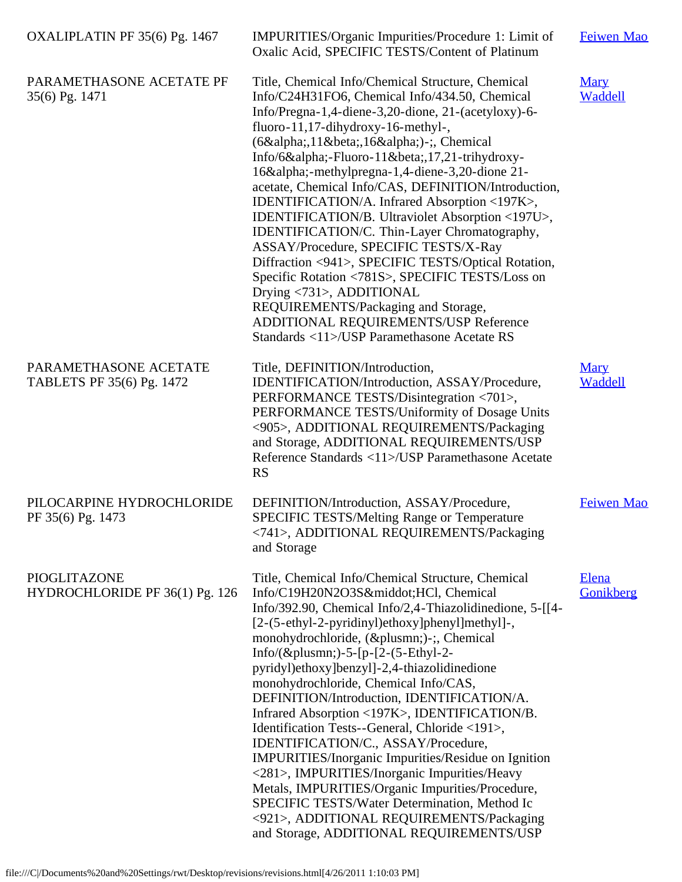| OXALIPLATIN PF 35(6) Pg. 1467                      | IMPURITIES/Organic Impurities/Procedure 1: Limit of<br>Oxalic Acid, SPECIFIC TESTS/Content of Platinum                                                                                                                                                                                                                                                                                                                                                                                                                                                                                                                                                                                                                                                                                                                                                               | Feiwen Mao             |
|----------------------------------------------------|----------------------------------------------------------------------------------------------------------------------------------------------------------------------------------------------------------------------------------------------------------------------------------------------------------------------------------------------------------------------------------------------------------------------------------------------------------------------------------------------------------------------------------------------------------------------------------------------------------------------------------------------------------------------------------------------------------------------------------------------------------------------------------------------------------------------------------------------------------------------|------------------------|
| PARAMETHASONE ACETATE PF<br>35(6) Pg. 1471         | Title, Chemical Info/Chemical Structure, Chemical<br>Info/C24H31FO6, Chemical Info/434.50, Chemical<br>Info/Pregna-1,4-diene-3,20-dione, 21-(acetyloxy)-6-<br>fluoro-11,17-dihydroxy-16-methyl-,<br>(6α,11β,16α)-;, Chemical<br>Info/6α-Fluoro-11β,17,21-trihydroxy-<br>16α-methylpregna-1,4-diene-3,20-dione 21-<br>acetate, Chemical Info/CAS, DEFINITION/Introduction,<br>IDENTIFICATION/A. Infrared Absorption <197K>,<br>IDENTIFICATION/B. Ultraviolet Absorption <197U>,<br>IDENTIFICATION/C. Thin-Layer Chromatography,<br>ASSAY/Procedure, SPECIFIC TESTS/X-Ray<br>Diffraction <941>, SPECIFIC TESTS/Optical Rotation,<br>Specific Rotation <781S>, SPECIFIC TESTS/Loss on<br>Drying <731>, ADDITIONAL<br>REQUIREMENTS/Packaging and Storage,<br>ADDITIONAL REQUIREMENTS/USP Reference<br>Standards <11>/USP Paramethasone Acetate RS                        | <b>Mary</b><br>Waddell |
| PARAMETHASONE ACETATE<br>TABLETS PF 35(6) Pg. 1472 | Title, DEFINITION/Introduction,<br>IDENTIFICATION/Introduction, ASSAY/Procedure,<br>PERFORMANCE TESTS/Disintegration <701>,<br>PERFORMANCE TESTS/Uniformity of Dosage Units<br><905>, ADDITIONAL REQUIREMENTS/Packaging<br>and Storage, ADDITIONAL REQUIREMENTS/USP<br>Reference Standards <11>/USP Paramethasone Acetate<br><b>RS</b>                                                                                                                                                                                                                                                                                                                                                                                                                                                                                                                               | <b>Mary</b><br>Waddell |
| PILOCARPINE HYDROCHLORIDE<br>PF 35(6) Pg. 1473     | DEFINITION/Introduction, ASSAY/Procedure,<br>SPECIFIC TESTS/Melting Range or Temperature<br><741>, ADDITIONAL REQUIREMENTS/Packaging<br>and Storage                                                                                                                                                                                                                                                                                                                                                                                                                                                                                                                                                                                                                                                                                                                  | <b>Feiwen Mao</b>      |
| PIOGLITAZONE<br>HYDROCHLORIDE PF 36(1) Pg. 126     | Title, Chemical Info/Chemical Structure, Chemical<br>Info/C19H20N2O3S·HCl, Chemical<br>Info/392.90, Chemical Info/2,4-Thiazolidinedione, 5-[[4-<br>[2-(5-ethyl-2-pyridinyl)ethoxy]phenyl]methyl]-,<br>monohydrochloride, (±)-;, Chemical<br>Info/(±)-5-[p-[2-(5-Ethyl-2-<br>pyridyl)ethoxy]benzyl]-2,4-thiazolidinedione<br>monohydrochloride, Chemical Info/CAS,<br>DEFINITION/Introduction, IDENTIFICATION/A.<br>Infrared Absorption <197K>, IDENTIFICATION/B.<br>Identification Tests--General, Chloride <191>,<br>IDENTIFICATION/C., ASSAY/Procedure,<br><b>IMPURITIES/Inorganic Impurities/Residue on Ignition</b><br><281>, IMPURITIES/Inorganic Impurities/Heavy<br>Metals, IMPURITIES/Organic Impurities/Procedure,<br>SPECIFIC TESTS/Water Determination, Method Ic<br><921>, ADDITIONAL REQUIREMENTS/Packaging<br>and Storage, ADDITIONAL REQUIREMENTS/USP | Elena<br>Gonikberg     |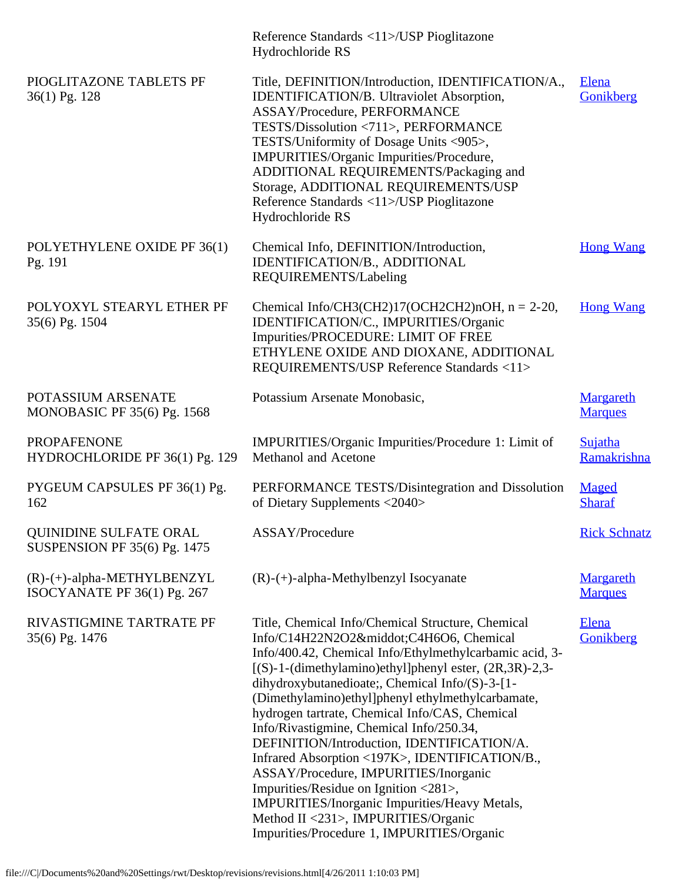|                                                               | Reference Standards <11>/USP Pioglitazone<br>Hydrochloride RS                                                                                                                                                                                                                                                                                                                                                                                                                                                                                                                                                                                                                                                                                 |                                    |
|---------------------------------------------------------------|-----------------------------------------------------------------------------------------------------------------------------------------------------------------------------------------------------------------------------------------------------------------------------------------------------------------------------------------------------------------------------------------------------------------------------------------------------------------------------------------------------------------------------------------------------------------------------------------------------------------------------------------------------------------------------------------------------------------------------------------------|------------------------------------|
| PIOGLITAZONE TABLETS PF<br>36(1) Pg. 128                      | Title, DEFINITION/Introduction, IDENTIFICATION/A.,<br>IDENTIFICATION/B. Ultraviolet Absorption,<br>ASSAY/Procedure, PERFORMANCE<br>TESTS/Dissolution <711>, PERFORMANCE<br>TESTS/Uniformity of Dosage Units <905>,<br>IMPURITIES/Organic Impurities/Procedure,<br>ADDITIONAL REQUIREMENTS/Packaging and<br>Storage, ADDITIONAL REQUIREMENTS/USP<br>Reference Standards <11>/USP Pioglitazone<br>Hydrochloride RS                                                                                                                                                                                                                                                                                                                              | Elena<br>Gonikberg                 |
| POLYETHYLENE OXIDE PF 36(1)<br>Pg. 191                        | Chemical Info, DEFINITION/Introduction,<br>IDENTIFICATION/B., ADDITIONAL<br>REQUIREMENTS/Labeling                                                                                                                                                                                                                                                                                                                                                                                                                                                                                                                                                                                                                                             | <b>Hong Wang</b>                   |
| POLYOXYL STEARYL ETHER PF<br>35(6) Pg. 1504                   | Chemical Info/CH3(CH2)17(OCH2CH2)nOH, $n = 2-20$ ,<br>IDENTIFICATION/C., IMPURITIES/Organic<br>Impurities/PROCEDURE: LIMIT OF FREE<br>ETHYLENE OXIDE AND DIOXANE, ADDITIONAL<br>REQUIREMENTS/USP Reference Standards <11>                                                                                                                                                                                                                                                                                                                                                                                                                                                                                                                     | <b>Hong Wang</b>                   |
| POTASSIUM ARSENATE<br>MONOBASIC PF $35(6)$ Pg. 1568           | Potassium Arsenate Monobasic,                                                                                                                                                                                                                                                                                                                                                                                                                                                                                                                                                                                                                                                                                                                 | Margareth<br><b>Marques</b>        |
| <b>PROPAFENONE</b><br>HYDROCHLORIDE PF 36(1) Pg. 129          | IMPURITIES/Organic Impurities/Procedure 1: Limit of<br>Methanol and Acetone                                                                                                                                                                                                                                                                                                                                                                                                                                                                                                                                                                                                                                                                   | Sujatha<br>Ramakrishna             |
| PYGEUM CAPSULES PF 36(1) Pg.<br>162                           | PERFORMANCE TESTS/Disintegration and Dissolution<br>of Dietary Supplements <2040>                                                                                                                                                                                                                                                                                                                                                                                                                                                                                                                                                                                                                                                             | Maged<br><b>Sharaf</b>             |
| QUINIDINE SULFATE ORAL<br><b>SUSPENSION PF 35(6) Pg. 1475</b> | ASSAY/Procedure                                                                                                                                                                                                                                                                                                                                                                                                                                                                                                                                                                                                                                                                                                                               | <b>Rick Schnatz</b>                |
| $(R)-(+)$ -alpha-METHYLBENZYL<br>ISOCYANATE PF 36(1) Pg. 267  | $(R)$ - $(+)$ -alpha-Methylbenzyl Isocyanate                                                                                                                                                                                                                                                                                                                                                                                                                                                                                                                                                                                                                                                                                                  | <b>Margareth</b><br><b>Marques</b> |
| RIVASTIGMINE TARTRATE PF<br>35(6) Pg. 1476                    | Title, Chemical Info/Chemical Structure, Chemical<br>Info/C14H22N2O2·C4H6O6, Chemical<br>Info/400.42, Chemical Info/Ethylmethylcarbamic acid, 3-<br>$[(S)-1-(dimethylamino)ethyl]$ phenyl ester, $(2R,3R)-2,3-$<br>dihydroxybutanedioate;, Chemical Info/(S)-3-[1-<br>(Dimethylamino)ethyl]phenyl ethylmethylcarbamate,<br>hydrogen tartrate, Chemical Info/CAS, Chemical<br>Info/Rivastigmine, Chemical Info/250.34,<br>DEFINITION/Introduction, IDENTIFICATION/A.<br>Infrared Absorption <197K>, IDENTIFICATION/B.,<br>ASSAY/Procedure, IMPURITIES/Inorganic<br>Impurities/Residue on Ignition <281>,<br>IMPURITIES/Inorganic Impurities/Heavy Metals,<br>Method II <231>, IMPURITIES/Organic<br>Impurities/Procedure 1, IMPURITIES/Organic | <b>Elena</b><br>Gonikberg          |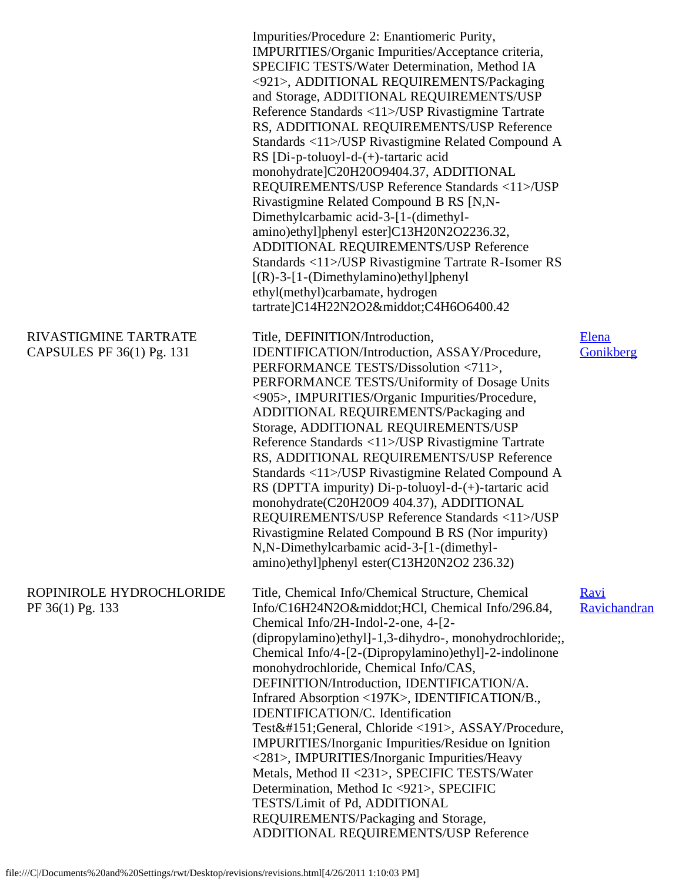|                                                    | Impurities/Procedure 2: Enantiomeric Purity,<br>IMPURITIES/Organic Impurities/Acceptance criteria,<br>SPECIFIC TESTS/Water Determination, Method IA<br><921>, ADDITIONAL REQUIREMENTS/Packaging<br>and Storage, ADDITIONAL REQUIREMENTS/USP<br>Reference Standards <11>/USP Rivastigmine Tartrate<br>RS, ADDITIONAL REQUIREMENTS/USP Reference<br>Standards <11>/USP Rivastigmine Related Compound A<br>RS [Di-p-toluoyl-d- $(+)$ -tartaric acid<br>monohydrate]C20H20O9404.37, ADDITIONAL<br>REQUIREMENTS/USP Reference Standards <11>/USP<br>Rivastigmine Related Compound B RS [N,N-<br>Dimethylcarbamic acid-3-[1-(dimethyl-<br>amino)ethyl]phenyl ester]C13H20N2O2236.32,<br>ADDITIONAL REQUIREMENTS/USP Reference<br>Standards <11>/USP Rivastigmine Tartrate R-Isomer RS<br>$[(R)-3-[1-(Dimethylamino)ethyl]phenyl]$<br>ethyl(methyl)carbamate, hydrogen<br>tartrate]C14H22N2O2·C4H6O6400.42 |                             |
|----------------------------------------------------|-----------------------------------------------------------------------------------------------------------------------------------------------------------------------------------------------------------------------------------------------------------------------------------------------------------------------------------------------------------------------------------------------------------------------------------------------------------------------------------------------------------------------------------------------------------------------------------------------------------------------------------------------------------------------------------------------------------------------------------------------------------------------------------------------------------------------------------------------------------------------------------------------------|-----------------------------|
| RIVASTIGMINE TARTRATE<br>CAPSULES PF 36(1) Pg. 131 | Title, DEFINITION/Introduction,<br>IDENTIFICATION/Introduction, ASSAY/Procedure,<br>PERFORMANCE TESTS/Dissolution <711>,<br>PERFORMANCE TESTS/Uniformity of Dosage Units<br><905>, IMPURITIES/Organic Impurities/Procedure,<br>ADDITIONAL REQUIREMENTS/Packaging and<br>Storage, ADDITIONAL REQUIREMENTS/USP<br>Reference Standards <11>/USP Rivastigmine Tartrate<br>RS, ADDITIONAL REQUIREMENTS/USP Reference<br>Standards <11>/USP Rivastigmine Related Compound A<br>RS (DPTTA impurity) Di-p-toluoyl-d-(+)-tartaric acid<br>monohydrate(C20H20O9 404.37), ADDITIONAL<br>REQUIREMENTS/USP Reference Standards <11>/USP<br>Rivastigmine Related Compound B RS (Nor impurity)<br>N,N-Dimethylcarbamic acid-3-[1-(dimethyl-<br>amino)ethyl]phenyl ester(C13H20N2O2 236.32)                                                                                                                         | Elena<br>Gonikberg          |
| ROPINIROLE HYDROCHLORIDE<br>PF 36(1) Pg. 133       | Title, Chemical Info/Chemical Structure, Chemical<br>Info/C16H24N2O·HCl, Chemical Info/296.84,<br>Chemical Info/2H-Indol-2-one, 4-[2-<br>(dipropylamino)ethyl]-1,3-dihydro-, monohydrochloride;<br>Chemical Info/4-[2-(Dipropylamino)ethyl]-2-indolinone<br>monohydrochloride, Chemical Info/CAS,<br>DEFINITION/Introduction, IDENTIFICATION/A.<br>Infrared Absorption <197K>, IDENTIFICATION/B.,<br>IDENTIFICATION/C. Identification<br>Test—General, Chloride <191>, ASSAY/Procedure,<br><b>IMPURITIES/Inorganic Impurities/Residue on Ignition</b><br><281>, IMPURITIES/Inorganic Impurities/Heavy<br>Metals, Method II <231>, SPECIFIC TESTS/Water<br>Determination, Method Ic <921>, SPECIFIC<br>TESTS/Limit of Pd, ADDITIONAL<br>REQUIREMENTS/Packaging and Storage,<br>ADDITIONAL REQUIREMENTS/USP Reference                                                                                 | <b>Ravi</b><br>Ravichandran |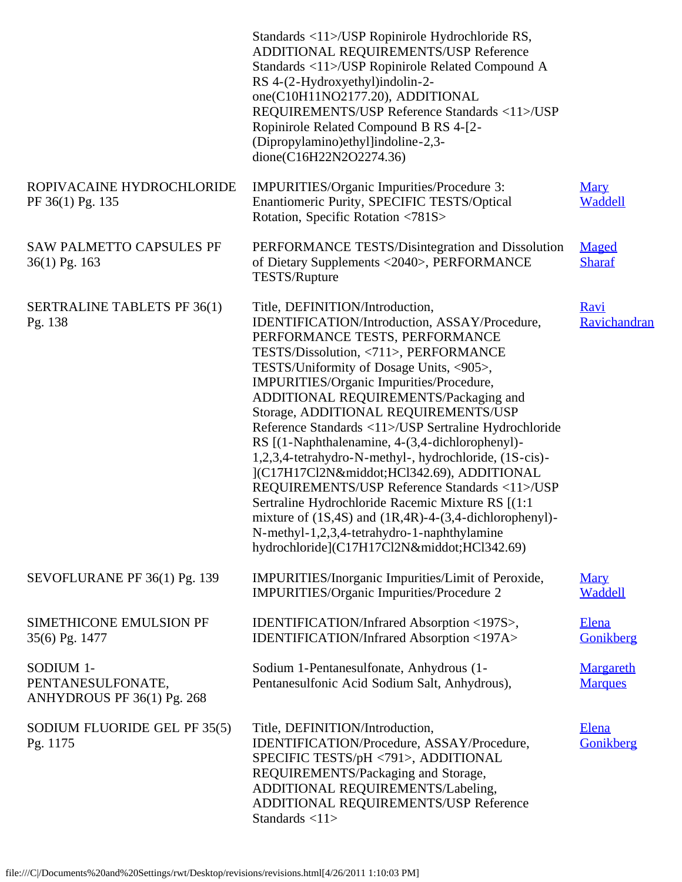|                                                              | Standards <11>/USP Ropinirole Hydrochloride RS,<br>ADDITIONAL REQUIREMENTS/USP Reference<br>Standards <11>/USP Ropinirole Related Compound A<br>RS 4-(2-Hydroxyethyl)indolin-2-<br>one(C10H11NO2177.20), ADDITIONAL<br>REQUIREMENTS/USP Reference Standards <11>/USP<br>Ropinirole Related Compound B RS 4-[2-<br>(Dipropylamino)ethyl]indoline-2,3-<br>dione(C16H22N2O2274.36)                                                                                                                                                                                                                                                                                                                                                                                                                                       |                                    |
|--------------------------------------------------------------|-----------------------------------------------------------------------------------------------------------------------------------------------------------------------------------------------------------------------------------------------------------------------------------------------------------------------------------------------------------------------------------------------------------------------------------------------------------------------------------------------------------------------------------------------------------------------------------------------------------------------------------------------------------------------------------------------------------------------------------------------------------------------------------------------------------------------|------------------------------------|
| ROPIVACAINE HYDROCHLORIDE<br>PF 36(1) Pg. 135                | IMPURITIES/Organic Impurities/Procedure 3:<br>Enantiomeric Purity, SPECIFIC TESTS/Optical<br>Rotation, Specific Rotation <781S>                                                                                                                                                                                                                                                                                                                                                                                                                                                                                                                                                                                                                                                                                       | <b>Mary</b><br>Waddell             |
| <b>SAW PALMETTO CAPSULES PF</b><br>$36(1)$ Pg. 163           | PERFORMANCE TESTS/Disintegration and Dissolution<br>of Dietary Supplements <2040>, PERFORMANCE<br><b>TESTS/Rupture</b>                                                                                                                                                                                                                                                                                                                                                                                                                                                                                                                                                                                                                                                                                                | <b>Maged</b><br><b>Sharaf</b>      |
| <b>SERTRALINE TABLETS PF 36(1)</b><br>Pg. 138                | Title, DEFINITION/Introduction,<br>IDENTIFICATION/Introduction, ASSAY/Procedure,<br>PERFORMANCE TESTS, PERFORMANCE<br>TESTS/Dissolution, <711>, PERFORMANCE<br>TESTS/Uniformity of Dosage Units, <905>,<br>IMPURITIES/Organic Impurities/Procedure,<br>ADDITIONAL REQUIREMENTS/Packaging and<br>Storage, ADDITIONAL REQUIREMENTS/USP<br>Reference Standards <11>/USP Sertraline Hydrochloride<br>RS [(1-Naphthalenamine, 4-(3,4-dichlorophenyl)-<br>1,2,3,4-tetrahydro-N-methyl-, hydrochloride, (1S-cis)-<br>](C17H17Cl2N·HCl342.69), ADDITIONAL<br>REQUIREMENTS/USP Reference Standards <11>/USP<br>Sertraline Hydrochloride Racemic Mixture RS [(1:1)<br>mixture of $(1S, 4S)$ and $(1R, 4R)$ -4- $(3, 4$ -dichlorophenyl)-<br>N-methyl-1,2,3,4-tetrahydro-1-naphthylamine<br>hydrochloride](C17H17Cl2N·HCl342.69) | <b>Ravi</b><br>Ravichandran        |
| SEVOFLURANE PF 36(1) Pg. 139                                 | IMPURITIES/Inorganic Impurities/Limit of Peroxide,<br>IMPURITIES/Organic Impurities/Procedure 2                                                                                                                                                                                                                                                                                                                                                                                                                                                                                                                                                                                                                                                                                                                       | <b>Mary</b><br>Waddell             |
| SIMETHICONE EMULSION PF<br>35(6) Pg. 1477                    | IDENTIFICATION/Infrared Absorption <197S>,<br>IDENTIFICATION/Infrared Absorption <197A>                                                                                                                                                                                                                                                                                                                                                                                                                                                                                                                                                                                                                                                                                                                               | Elena<br>Gonikberg                 |
| SODIUM 1-<br>PENTANESULFONATE,<br>ANHYDROUS PF 36(1) Pg. 268 | Sodium 1-Pentanesulfonate, Anhydrous (1-<br>Pentanesulfonic Acid Sodium Salt, Anhydrous),                                                                                                                                                                                                                                                                                                                                                                                                                                                                                                                                                                                                                                                                                                                             | <b>Margareth</b><br><b>Marques</b> |
| SODIUM FLUORIDE GEL PF 35(5)<br>Pg. 1175                     | Title, DEFINITION/Introduction,<br>IDENTIFICATION/Procedure, ASSAY/Procedure,<br>SPECIFIC TESTS/pH <791>, ADDITIONAL<br>REQUIREMENTS/Packaging and Storage,<br>ADDITIONAL REQUIREMENTS/Labeling,<br>ADDITIONAL REQUIREMENTS/USP Reference<br>Standards <11>                                                                                                                                                                                                                                                                                                                                                                                                                                                                                                                                                           | Elena<br>Gonikberg                 |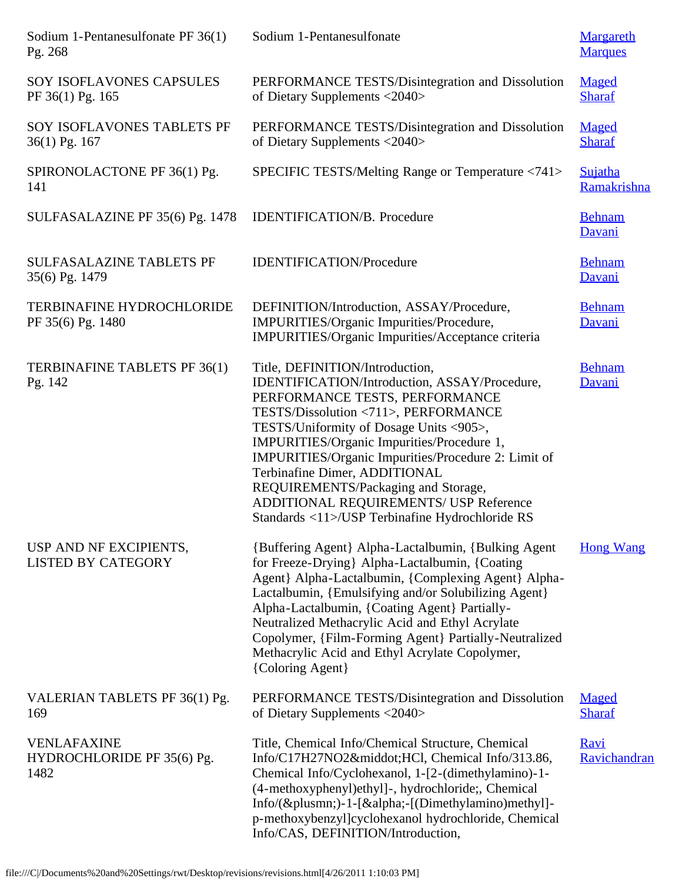| Sodium 1-Pentanesulfonate PF 36(1)<br>Pg. 268            | Sodium 1-Pentanesulfonate                                                                                                                                                                                                                                                                                                                                                                                                                                                       | <b>Margareth</b><br><b>Marques</b> |
|----------------------------------------------------------|---------------------------------------------------------------------------------------------------------------------------------------------------------------------------------------------------------------------------------------------------------------------------------------------------------------------------------------------------------------------------------------------------------------------------------------------------------------------------------|------------------------------------|
| SOY ISOFLAVONES CAPSULES<br>PF 36(1) Pg. 165             | PERFORMANCE TESTS/Disintegration and Dissolution<br>of Dietary Supplements <2040>                                                                                                                                                                                                                                                                                                                                                                                               | Maged<br><b>Sharaf</b>             |
| SOY ISOFLAVONES TABLETS PF<br>36(1) Pg. 167              | PERFORMANCE TESTS/Disintegration and Dissolution<br>of Dietary Supplements <2040>                                                                                                                                                                                                                                                                                                                                                                                               | Maged<br><b>Sharaf</b>             |
| SPIRONOLACTONE PF 36(1) Pg.<br>141                       | SPECIFIC TESTS/Melting Range or Temperature <741>                                                                                                                                                                                                                                                                                                                                                                                                                               | <b>Sujatha</b><br>Ramakrishna      |
| SULFASALAZINE PF 35(6) Pg. 1478                          | <b>IDENTIFICATION/B.</b> Procedure                                                                                                                                                                                                                                                                                                                                                                                                                                              | <b>Behnam</b><br>Davani            |
| <b>SULFASALAZINE TABLETS PF</b><br>35(6) Pg. 1479        | <b>IDENTIFICATION/Procedure</b>                                                                                                                                                                                                                                                                                                                                                                                                                                                 | <b>Behnam</b><br>Davani            |
| <b>TERBINAFINE HYDROCHLORIDE</b><br>PF 35(6) Pg. 1480    | DEFINITION/Introduction, ASSAY/Procedure,<br>IMPURITIES/Organic Impurities/Procedure,<br>IMPURITIES/Organic Impurities/Acceptance criteria                                                                                                                                                                                                                                                                                                                                      | <b>Behnam</b><br>Davani            |
| TERBINAFINE TABLETS PF 36(1)<br>Pg. 142                  | Title, DEFINITION/Introduction,<br>IDENTIFICATION/Introduction, ASSAY/Procedure,<br>PERFORMANCE TESTS, PERFORMANCE<br>TESTS/Dissolution <711>, PERFORMANCE<br>TESTS/Uniformity of Dosage Units <905>,<br>IMPURITIES/Organic Impurities/Procedure 1,<br>IMPURITIES/Organic Impurities/Procedure 2: Limit of<br>Terbinafine Dimer, ADDITIONAL<br>REQUIREMENTS/Packaging and Storage,<br>ADDITIONAL REQUIREMENTS/ USP Reference<br>Standards <11>/USP Terbinafine Hydrochloride RS | <b>Behnam</b><br>Davani            |
| USP AND NF EXCIPIENTS,<br><b>LISTED BY CATEGORY</b>      | {Buffering Agent} Alpha-Lactalbumin, {Bulking Agent}<br>for Freeze-Drying} Alpha-Lactalbumin, {Coating<br>Agent} Alpha-Lactalbumin, {Complexing Agent} Alpha-<br>Lactalbumin, {Emulsifying and/or Solubilizing Agent}<br>Alpha-Lactalbumin, {Coating Agent} Partially-<br>Neutralized Methacrylic Acid and Ethyl Acrylate<br>Copolymer, {Film-Forming Agent} Partially-Neutralized<br>Methacrylic Acid and Ethyl Acrylate Copolymer,<br>{Coloring Agent}                        | <b>Hong Wang</b>                   |
| VALERIAN TABLETS PF 36(1) Pg.<br>169                     | PERFORMANCE TESTS/Disintegration and Dissolution<br>of Dietary Supplements <2040>                                                                                                                                                                                                                                                                                                                                                                                               | Maged<br><b>Sharaf</b>             |
| <b>VENLAFAXINE</b><br>HYDROCHLORIDE PF 35(6) Pg.<br>1482 | Title, Chemical Info/Chemical Structure, Chemical<br>Info/C17H27NO2·HCl, Chemical Info/313.86,<br>Chemical Info/Cyclohexanol, 1-[2-(dimethylamino)-1-<br>(4-methoxyphenyl)ethyl]-, hydrochloride;, Chemical<br>Info/(±)-1-[α-[(Dimethylamino)methyl]-<br>p-methoxybenzyl]cyclohexanol hydrochloride, Chemical<br>Info/CAS, DEFINITION/Introduction,                                                                                                                             | Ravi<br>Ravichandran               |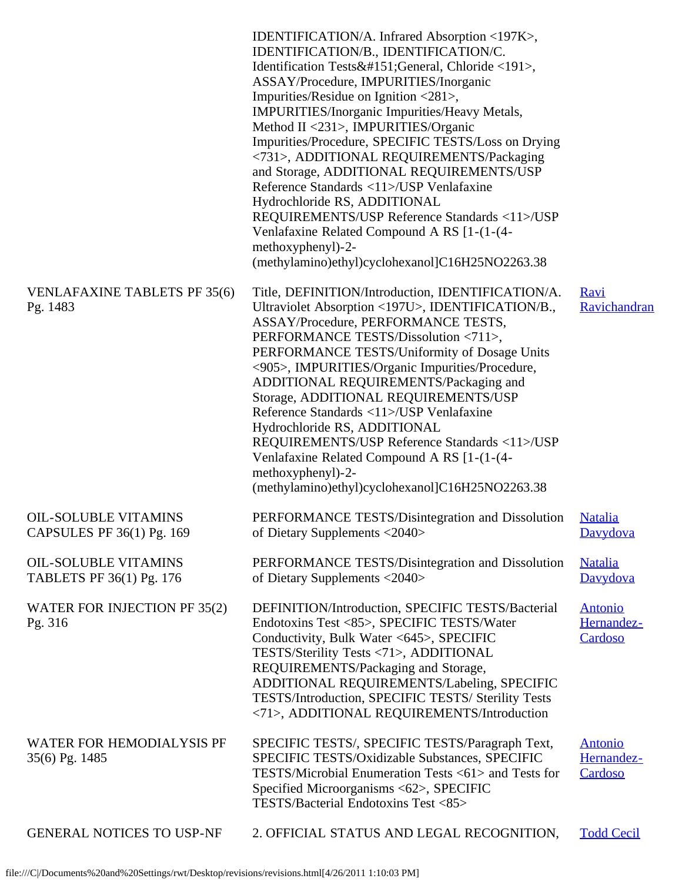|                                                          | IDENTIFICATION/A. Infrared Absorption <197K>,<br>IDENTIFICATION/B., IDENTIFICATION/C.<br>Identification Tests—General, Chloride <191>,<br>ASSAY/Procedure, IMPURITIES/Inorganic<br>Impurities/Residue on Ignition <281>,<br>IMPURITIES/Inorganic Impurities/Heavy Metals,<br>Method II <231>, IMPURITIES/Organic<br>Impurities/Procedure, SPECIFIC TESTS/Loss on Drying<br><731>, ADDITIONAL REQUIREMENTS/Packaging<br>and Storage, ADDITIONAL REQUIREMENTS/USP<br>Reference Standards <11>/USP Venlafaxine<br>Hydrochloride RS, ADDITIONAL<br>REQUIREMENTS/USP Reference Standards <11>/USP<br>Venlafaxine Related Compound A RS [1-(1-(4-<br>methoxyphenyl)-2-<br>(methylamino)ethyl)cyclohexanol]C16H25NO2263.38 |                                         |
|----------------------------------------------------------|---------------------------------------------------------------------------------------------------------------------------------------------------------------------------------------------------------------------------------------------------------------------------------------------------------------------------------------------------------------------------------------------------------------------------------------------------------------------------------------------------------------------------------------------------------------------------------------------------------------------------------------------------------------------------------------------------------------------|-----------------------------------------|
| <b>VENLAFAXINE TABLETS PF 35(6)</b><br>Pg. 1483          | Title, DEFINITION/Introduction, IDENTIFICATION/A.<br>Ultraviolet Absorption <197U>, IDENTIFICATION/B.,<br>ASSAY/Procedure, PERFORMANCE TESTS,<br>PERFORMANCE TESTS/Dissolution <711>,<br>PERFORMANCE TESTS/Uniformity of Dosage Units<br><905>, IMPURITIES/Organic Impurities/Procedure,<br>ADDITIONAL REQUIREMENTS/Packaging and<br>Storage, ADDITIONAL REQUIREMENTS/USP<br>Reference Standards <11>/USP Venlafaxine<br>Hydrochloride RS, ADDITIONAL<br>REQUIREMENTS/USP Reference Standards <11>/USP<br>Venlafaxine Related Compound A RS [1-(1-(4-<br>methoxyphenyl)-2-<br>(methylamino)ethyl)cyclohexanol]C16H25NO2263.38                                                                                       | <b>Ravi</b><br>Ravichandran             |
| <b>OIL-SOLUBLE VITAMINS</b><br>CAPSULES PF 36(1) Pg. 169 | PERFORMANCE TESTS/Disintegration and Dissolution<br>of Dietary Supplements <2040>                                                                                                                                                                                                                                                                                                                                                                                                                                                                                                                                                                                                                                   | <u>Natalia</u><br>Davydova              |
| <b>OIL-SOLUBLE VITAMINS</b><br>TABLETS PF 36(1) Pg. 176  | PERFORMANCE TESTS/Disintegration and Dissolution<br>of Dietary Supplements <2040>                                                                                                                                                                                                                                                                                                                                                                                                                                                                                                                                                                                                                                   | <b>Natalia</b><br>Davydova              |
| WATER FOR INJECTION PF 35(2)<br>Pg. 316                  | DEFINITION/Introduction, SPECIFIC TESTS/Bacterial<br>Endotoxins Test <85>, SPECIFIC TESTS/Water<br>Conductivity, Bulk Water <645>, SPECIFIC<br>TESTS/Sterility Tests <71>, ADDITIONAL<br>REQUIREMENTS/Packaging and Storage,<br>ADDITIONAL REQUIREMENTS/Labeling, SPECIFIC<br>TESTS/Introduction, SPECIFIC TESTS/ Sterility Tests<br><71>, ADDITIONAL REQUIREMENTS/Introduction                                                                                                                                                                                                                                                                                                                                     | <b>Antonio</b><br>Hernandez-<br>Cardoso |
| WATER FOR HEMODIALYSIS PF<br>35(6) Pg. 1485              | SPECIFIC TESTS/, SPECIFIC TESTS/Paragraph Text,<br>SPECIFIC TESTS/Oxidizable Substances, SPECIFIC<br>TESTS/Microbial Enumeration Tests <61> and Tests for<br>Specified Microorganisms <62>, SPECIFIC<br>TESTS/Bacterial Endotoxins Test <85>                                                                                                                                                                                                                                                                                                                                                                                                                                                                        | <b>Antonio</b><br>Hernandez-<br>Cardoso |
| <b>GENERAL NOTICES TO USP-NF</b>                         | 2. OFFICIAL STATUS AND LEGAL RECOGNITION,                                                                                                                                                                                                                                                                                                                                                                                                                                                                                                                                                                                                                                                                           | <b>Todd Cecil</b>                       |